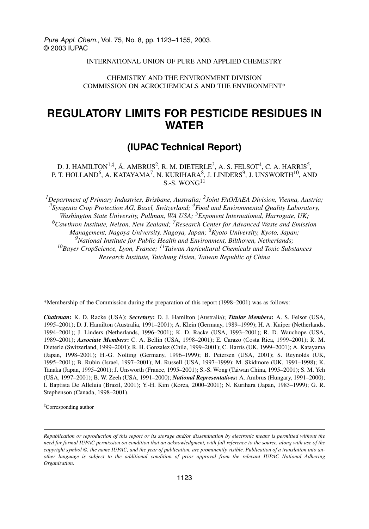Pure Appl. Chem., Vol. 75, No. 8, pp. 1123–1155, 2003. © 2003 IUPAC

INTERNATIONAL UNION OF PURE AND APPLIED CHEMISTRY

CHEMISTRY AND THE ENVIRONMENT DIVISION COMMISSION ON AGROCHEMICALS AND THE ENVIRONMENT\*

# **REGULATORY LIMITS FOR PESTICIDE RESIDUES IN WATER**

# **(IUPAC Technical Report)**

D. J. HAMILTON $^{1,\ddot{\ddot{r}}},$  Á. AMBRUS $^2$ , R. M. DIETERLE $^3$ , A. S. FELSOT $^4$ , C. A. HARRIS $^5$ , P. T. HOLLAND $^6$ , A. KATAYAMA $^7$ , N. KURIHARA $^8$ , J. LINDERS $^9$ , J. UNSWORTH $^{10}$ , AND S.-S. WON $\mathrm{G}^{11}$ 

*1Department of Primary Industries, Brisbane, Australia; 2Joint FAO/IAEA Division, Vienna, Austria; 3Syngenta Crop Protection AG, Basel, Switzerland; 4Food and Environmental Quality Laboratory, Washington State University, Pullman, WA USA; 5Exponent International, Harrogate, UK; 6Cawthron Institute, Nelson, New Zealand; 7Research Center for Advanced Waste and Emission Management, Nagoya University, Nagoya, Japan; 8Kyoto University, Kyoto, Japan; 9National Institute for Public Health and Environment, Bilthoven, Netherlands; 10Bayer CropScience, Lyon, France; 11Taiwan Agricultural Chemicals and Toxic Substances Research Institute, Taichung Hsien, Taiwan Republic of China*

\*Membership of the Commission during the preparation of this report (1998–2001) was as follows:

*Chairman***:** K. D. Racke (USA); *Secretary***:** D. J. Hamilton (Australia); *Titular Members***:** A. S. Felsot (USA, 1995–2001); D. J. Hamilton (Australia, 1991–2001); A. Klein (Germany, 1989–1999); H. A. Kuiper (Netherlands, 1994–2001); J. Linders (Netherlands, 1996–2001); K. D. Racke (USA, 1993–2001); R. D. Wauchope (USA, 1989–2001); *Associate Members***:** C. A. Bellin (USA, 1998–2001); E. Carazo (Costa Rica, 1999–2001); R. M. Dieterle (Switzerland, 1999–2001); R. H. Gonzalez (Chile, 1999–2001); C. Harris (UK, 1999–2001); A. Katayama (Japan, 1998–2001); H.-G. Nolting (Germany, 1996–1999); B. Petersen (USA, 2001); S. Reynolds (UK, 1995–2001); B. Rubin (Israel, 1997–2001); M. Russell (USA, 1997–1999); M. Skidmore (UK, 1991–1998); K. Tanaka (Japan, 1995–2001); J. Unsworth (France, 1995–2001); S.-S. Wong (Taiwan China, 1995–2001); S. M. Yeh (USA, 1997–2001); B. W. Zeeh (USA, 1991–2000); *National Representatives***:** A. Ambrus (Hungary, 1991–2000); I. Baptista De Alleluia (Brazil, 2001); Y.-H. Kim (Korea, 2000–2001); N. Kurihara (Japan, 1983–1999); G. R. Stephenson (Canada, 1998–2001).

‡ Corresponding author

*Republication or reproduction of this report or its storage and/or dissemination by electronic means is permitted without the need for formal IUPAC permission on condition that an acknowledgment, with full reference to the source, along with use of the copyright symbol ©, the name IUPAC, and the year of publication, are prominently visible. Publication of a translation into another language is subject to the additional condition of prior approval from the relevant IUPAC National Adhering Organization.*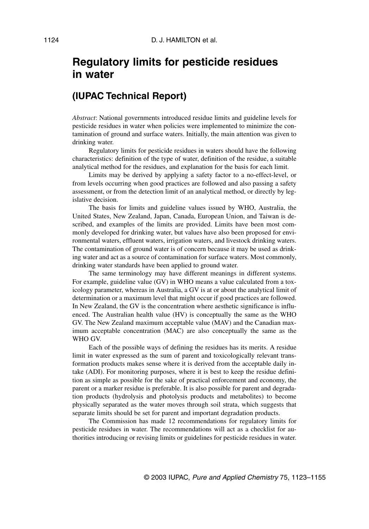# **Regulatory limits for pesticide residues in water**

# **(IUPAC Technical Report)**

*Abstract*: National governments introduced residue limits and guideline levels for pesticide residues in water when policies were implemented to minimize the contamination of ground and surface waters. Initially, the main attention was given to drinking water.

Regulatory limits for pesticide residues in waters should have the following characteristics: definition of the type of water, definition of the residue, a suitable analytical method for the residues, and explanation for the basis for each limit.

Limits may be derived by applying a safety factor to a no-effect-level, or from levels occurring when good practices are followed and also passing a safety assessment, or from the detection limit of an analytical method, or directly by legislative decision.

The basis for limits and guideline values issued by WHO, Australia, the United States, New Zealand, Japan, Canada, European Union, and Taiwan is described, and examples of the limits are provided. Limits have been most commonly developed for drinking water, but values have also been proposed for environmental waters, effluent waters, irrigation waters, and livestock drinking waters. The contamination of ground water is of concern because it may be used as drinking water and act as a source of contamination for surface waters. Most commonly, drinking water standards have been applied to ground water.

The same terminology may have different meanings in different systems. For example, guideline value (GV) in WHO means a value calculated from a toxicology parameter, whereas in Australia, a GV is at or about the analytical limit of determination or a maximum level that might occur if good practices are followed. In New Zealand, the GV is the concentration where aesthetic significance is influenced. The Australian health value (HV) is conceptually the same as the WHO GV. The New Zealand maximum acceptable value (MAV) and the Canadian maximum acceptable concentration (MAC) are also conceptually the same as the WHO GV.

Each of the possible ways of defining the residues has its merits. A residue limit in water expressed as the sum of parent and toxicologically relevant transformation products makes sense where it is derived from the acceptable daily intake (ADI). For monitoring purposes, where it is best to keep the residue definition as simple as possible for the sake of practical enforcement and economy, the parent or a marker residue is preferable. It is also possible for parent and degradation products (hydrolysis and photolysis products and metabolites) to become physically separated as the water moves through soil strata, which suggests that separate limits should be set for parent and important degradation products.

The Commission has made 12 recommendations for regulatory limits for pesticide residues in water. The recommendations will act as a checklist for authorities introducing or revising limits or guidelines for pesticide residues in water.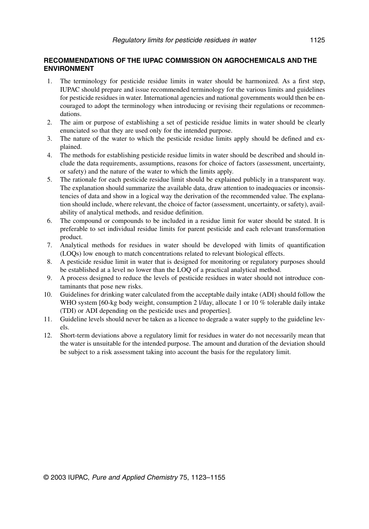# **RECOMMENDATIONS OF THE IUPAC COMMISSION ON AGROCHEMICALS AND THE ENVIRONMENT**

- 1. The terminology for pesticide residue limits in water should be harmonized. As a first step, IUPAC should prepare and issue recommended terminology for the various limits and guidelines for pesticide residues in water. International agencies and national governments would then be encouraged to adopt the terminology when introducing or revising their regulations or recommendations.
- 2. The aim or purpose of establishing a set of pesticide residue limits in water should be clearly enunciated so that they are used only for the intended purpose.
- 3. The nature of the water to which the pesticide residue limits apply should be defined and explained.
- 4. The methods for establishing pesticide residue limits in water should be described and should include the data requirements, assumptions, reasons for choice of factors (assessment, uncertainty, or safety) and the nature of the water to which the limits apply.
- 5. The rationale for each pesticide residue limit should be explained publicly in a transparent way. The explanation should summarize the available data, draw attention to inadequacies or inconsistencies of data and show in a logical way the derivation of the recommended value. The explanation should include, where relevant, the choice of factor (assessment, uncertainty, or safety), availability of analytical methods, and residue definition.
- 6. The compound or compounds to be included in a residue limit for water should be stated. It is preferable to set individual residue limits for parent pesticide and each relevant transformation product.
- 7. Analytical methods for residues in water should be developed with limits of quantification (LOQs) low enough to match concentrations related to relevant biological effects.
- 8. A pesticide residue limit in water that is designed for monitoring or regulatory purposes should be established at a level no lower than the LOQ of a practical analytical method.
- 9. A process designed to reduce the levels of pesticide residues in water should not introduce contaminants that pose new risks.
- 10. Guidelines for drinking water calculated from the acceptable daily intake (ADI) should follow the WHO system [60-kg body weight, consumption 2 l/day, allocate 1 or 10 % tolerable daily intake (TDI) or ADI depending on the pesticide uses and properties].
- 11. Guideline levels should never be taken as a licence to degrade a water supply to the guideline levels.
- 12. Short-term deviations above a regulatory limit for residues in water do not necessarily mean that the water is unsuitable for the intended purpose. The amount and duration of the deviation should be subject to a risk assessment taking into account the basis for the regulatory limit.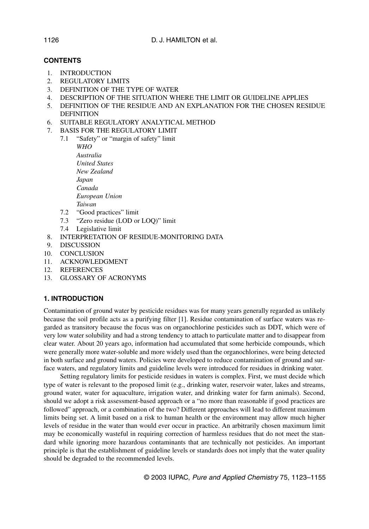# **CONTENTS**

- 1. INTRODUCTION
- 2. REGULATORY LIMITS
- 3. DEFINITION OF THE TYPE OF WATER
- 4. DESCRIPTION OF THE SITUATION WHERE THE LIMIT OR GUIDELINE APPLIES
- 5. DEFINITION OF THE RESIDUE AND AN EXPLANATION FOR THE CHOSEN RESIDUE DEFINITION
- 6. SUITABLE REGULATORY ANALYTICAL METHOD
- 7. BASIS FOR THE REGULATORY LIMIT
	- 7.1 "Safety" or "margin of safety" limit

*WHO Australia United States New Zealand Japan Canada European Union Taiwan*

- 7.2 "Good practices" limit
- 7.3 "Zero residue (LOD or LOQ)" limit
- 7.4 Legislative limit
- 8. INTERPRETATION OF RESIDUE-MONITORING DATA
- 9. DISCUSSION
- 10. CONCLUSION
- 11. ACKNOWLEDGMENT
- 12. REFERENCES
- 13. GLOSSARY OF ACRONYMS

# **1. INTRODUCTION**

Contamination of ground water by pesticide residues was for many years generally regarded as unlikely because the soil profile acts as a purifying filter [1]. Residue contamination of surface waters was regarded as transitory because the focus was on organochlorine pesticides such as DDT, which were of very low water solubility and had a strong tendency to attach to particulate matter and to disappear from clear water. About 20 years ago, information had accumulated that some herbicide compounds, which were generally more water-soluble and more widely used than the organochlorines, were being detected in both surface and ground waters. Policies were developed to reduce contamination of ground and surface waters, and regulatory limits and guideline levels were introduced for residues in drinking water.

Setting regulatory limits for pesticide residues in waters is complex. First, we must decide which type of water is relevant to the proposed limit (e.g., drinking water, reservoir water, lakes and streams, ground water, water for aquaculture, irrigation water, and drinking water for farm animals). Second, should we adopt a risk assessment-based approach or a "no more than reasonable if good practices are followed" approach, or a combination of the two? Different approaches will lead to different maximum limits being set. A limit based on a risk to human health or the environment may allow much higher levels of residue in the water than would ever occur in practice. An arbitrarily chosen maximum limit may be economically wasteful in requiring correction of harmless residues that do not meet the standard while ignoring more hazardous contaminants that are technically not pesticides. An important principle is that the establishment of guideline levels or standards does not imply that the water quality should be degraded to the recommended levels.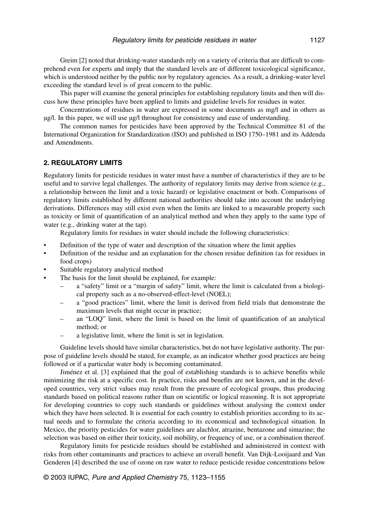Greim [2] noted that drinking-water standards rely on a variety of criteria that are difficult to comprehend even for experts and imply that the standard levels are of different toxicological significance, which is understood neither by the public nor by regulatory agencies. As a result, a drinking-water level exceeding the standard level is of great concern to the public.

This paper will examine the general principles for establishing regulatory limits and then will discuss how these principles have been applied to limits and guideline levels for residues in water.

Concentrations of residues in water are expressed in some documents as mg/l and in others as  $\mu$ g/l. In this paper, we will use  $\mu$ g/l throughout for consistency and ease of understanding.

The common names for pesticides have been approved by the Technical Committee 81 of the International Organization for Standardization (ISO) and published in ISO 1750–1981 and its Addenda and Amendments.

## **2. REGULATORY LIMITS**

Regulatory limits for pesticide residues in water must have a number of characteristics if they are to be useful and to survive legal challenges. The authority of regulatory limits may derive from science (e.g., a relationship between the limit and a toxic hazard) or legislative enactment or both. Comparisons of regulatory limits established by different national authorities should take into account the underlying derivations. Differences may still exist even when the limits are linked to a measurable property such as toxicity or limit of quantification of an analytical method and when they apply to the same type of water (e.g., drinking water at the tap).

Regulatory limits for residues in water should include the following characteristics:

- Definition of the type of water and description of the situation where the limit applies
- Definition of the residue and an explanation for the chosen residue definition (as for residues in food crops)
- Suitable regulatory analytical method
- The basis for the limit should be explained, for example:
	- a "safety" limit or a "margin of safety" limit, where the limit is calculated from a biological property such as a no-observed-effect-level (NOEL);
	- a "good practices" limit, where the limit is derived from field trials that demonstrate the maximum levels that might occur in practice;
	- an "LOQ" limit, where the limit is based on the limit of quantification of an analytical method; or
	- a legislative limit, where the limit is set in legislation.

Guideline levels should have similar characteristics, but do not have legislative authority. The purpose of guideline levels should be stated, for example, as an indicator whether good practices are being followed or if a particular water body is becoming contaminated.

Jiménez et al. [3] explained that the goal of establishing standards is to achieve benefits while minimizing the risk at a specific cost. In practice, risks and benefits are not known, and in the developed countries, very strict values may result from the pressure of ecological groups, thus producing standards based on political reasons rather than on scientific or logical reasoning. It is not appropriate for developing countries to copy such standards or guidelines without analysing the context under which they have been selected. It is essential for each country to establish priorities according to its actual needs and to formulate the criteria according to its economical and technological situation. In Mexico, the priority pesticides for water guidelines are alachlor, atrazine, bentazone and simazine; the selection was based on either their toxicity, soil mobility, or frequency of use, or a combination thereof.

Regulatory limits for pesticide residues should be established and administered in context with risks from other contaminants and practices to achieve an overall benefit. Van Dijk-Looijaard and Van Genderen [4] described the use of ozone on raw water to reduce pesticide residue concentrations below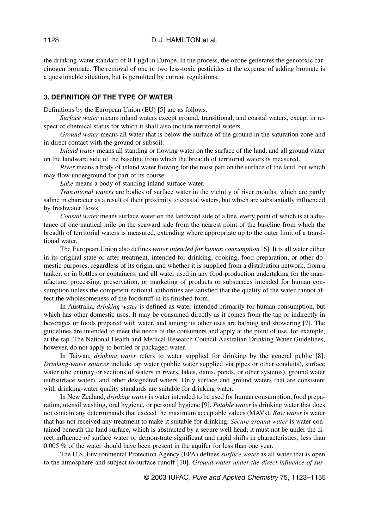the drinking-water standard of 0.1 µg/l in Europe. In the process, the ozone generates the genotoxic carcinogen bromate. The removal of one or two less-toxic pesticides at the expense of adding bromate is a questionable situation, but is permitted by current regulations.

### **3. DEFINITION OF THE TYPE OF WATER**

Definitions by the European Union (EU) [5] are as follows.

*Surface water* means inland waters except ground, transitional, and coastal waters, except in respect of chemical status for which it shall also include territorial waters.

*Ground water* means all water that is below the surface of the ground in the saturation zone and in direct contact with the ground or subsoil.

*Inland water* means all standing or flowing water on the surface of the land, and all ground water on the landward side of the baseline from which the breadth of territorial waters is measured.

*River* means a body of inland water flowing for the most part on the surface of the land, but which may flow underground for part of its course.

*Lake* means a body of standing inland surface water.

*Transitional waters* are bodies of surface water in the vicinity of river mouths, which are partly saline in character as a result of their proximity to coastal waters, but which are substantially influenced by freshwater flows.

*Coastal water* means surface water on the landward side of a line, every point of which is at a distance of one nautical mile on the seaward side from the nearest point of the baseline from which the breadth of territorial waters is measured, extending where appropriate up to the outer limit of a transitional water.

The European Union also defines *water intended for human consumption* [6]. It is all water either in its original state or after treatment, intended for drinking, cooking, food preparation, or other domestic purposes, regardless of its origin, and whether it is supplied from a distribution network, from a tanker, or in bottles or containers; and all water used in any food-production undertaking for the manufacture, processing, preservation, or marketing of products or substances intended for human consumption unless the competent national authorities are satisfied that the quality of the water cannot affect the wholesomeness of the foodstuff in its finished form.

In Australia, *drinking water* is defined as water intended primarily for human consumption, but which has other domestic uses. It may be consumed directly as it comes from the tap or indirectly in beverages or foods prepared with water, and among its other uses are bathing and showering [7]. The guidelines are intended to meet the needs of the consumers and apply at the point of use, for example, at the tap. The National Health and Medical Research Council Australian Drinking Water Guidelines, however, do not apply to bottled or packaged water.

In Taiwan, *drinking water* refers to water supplied for drinking by the general public [8]. *Drinking-water sources* include tap water (public water supplied via pipes or other conduits), surface water (the entirety or sections of waters in rivers, lakes, dams, ponds, or other systems), ground water (subsurface water), and other designated waters. Only surface and ground waters that are consistent with drinking-water quality standards are suitable for drinking water.

In New Zealand, *drinking water* is water intended to be used for human consumption, food preparation, utensil washing, oral hygiene, or personal hygiene [9]. *Potable water* is drinking water that does not contain any determinands that exceed the maximum acceptable values (MAVs). *Raw water* is water that has not received any treatment to make it suitable for drinking. *Secure ground water* is water contained beneath the land surface, which is abstracted by a secure well head; it must not be under the direct influence of surface water or demonstrate significant and rapid shifts in characteristics; less than 0.005% of the water should have been present in the aquifer for less than one year.

The U.S. Environmental Protection Agency (EPA) defines *surface water* as all water that is open to the atmosphere and subject to surface runoff [10]. *Ground water under the direct influence of sur-*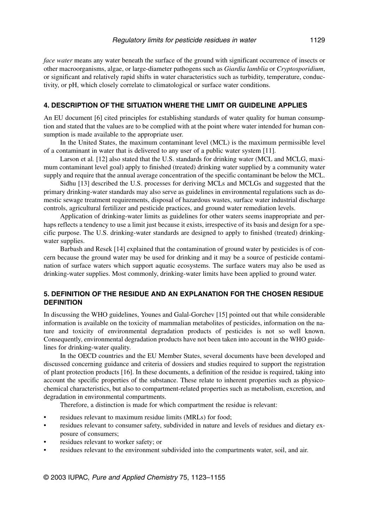*face water* means any water beneath the surface of the ground with significant occurrence of insects or other macroorganisms, algae, or large-diameter pathogens such as *Giardia lamblia* or *Cryptosporidium*, or significant and relatively rapid shifts in water characteristics such as turbidity, temperature, conductivity, or pH, which closely correlate to climatological or surface water conditions.

## **4. DESCRIPTION OF THE SITUATION WHERE THE LIMIT OR GUIDELINE APPLIES**

An EU document [6] cited principles for establishing standards of water quality for human consumption and stated that the values are to be complied with at the point where water intended for human consumption is made available to the appropriate user.

In the United States, the maximum contaminant level (MCL) is the maximum permissible level of a contaminant in water that is delivered to any user of a public water system [11].

Larson et al. [12] also stated that the U.S. standards for drinking water (MCL and MCLG, maximum contaminant level goal) apply to finished (treated) drinking water supplied by a community water supply and require that the annual average concentration of the specific contaminant be below the MCL.

Sidhu [13] described the U.S. processes for deriving MCLs and MCLGs and suggested that the primary drinking-water standards may also serve as guidelines in environmental regulations such as domestic sewage treatment requirements, disposal of hazardous wastes, surface water industrial discharge controls, agricultural fertilizer and pesticide practices, and ground water remediation levels.

Application of drinking-water limits as guidelines for other waters seems inappropriate and perhaps reflects a tendency to use a limit just because it exists, irrespective of its basis and design for a specific purpose. The U.S. drinking-water standards are designed to apply to finished (treated) drinkingwater supplies.

Barbash and Resek [14] explained that the contamination of ground water by pesticides is of concern because the ground water may be used for drinking and it may be a source of pesticide contamination of surface waters which support aquatic ecosystems. The surface waters may also be used as drinking-water supplies. Most commonly, drinking-water limits have been applied to ground water.

# **5. DEFINITION OF THE RESIDUE AND AN EXPLANATION FOR THE CHOSEN RESIDUE DEFINITION**

In discussing the WHO guidelines, Younes and Galal-Gorchev [15] pointed out that while considerable information is available on the toxicity of mammalian metabolites of pesticides, information on the nature and toxicity of environmental degradation products of pesticides is not so well known. Consequently, environmental degradation products have not been taken into account in the WHO guidelines for drinking-water quality.

In the OECD countries and the EU Member States, several documents have been developed and discussed concerning guidance and criteria of dossiers and studies required to support the registration of plant protection products [16]. In these documents, a definition of the residue is required, taking into account the specific properties of the substance. These relate to inherent properties such as physicochemical characteristics, but also to compartment-related properties such as metabolism, excretion, and degradation in environmental compartments.

Therefore, a distinction is made for which compartment the residue is relevant:

- residues relevant to maximum residue limits (MRLs) for food;
- residues relevant to consumer safety, subdivided in nature and levels of residues and dietary exposure of consumers;
- residues relevant to worker safety; or
- residues relevant to the environment subdivided into the compartments water, soil, and air.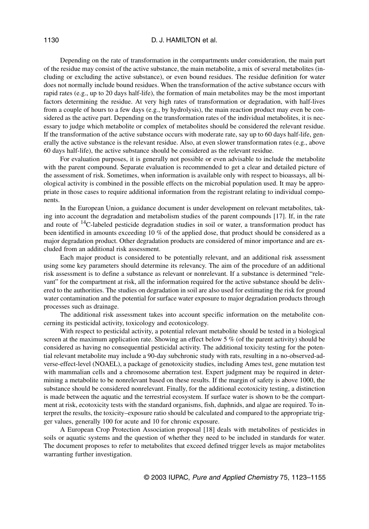#### D. J. HAMILTON et al.

Depending on the rate of transformation in the compartments under consideration, the main part of the residue may consist of the active substance, the main metabolite, a mix of several metabolites (including or excluding the active substance), or even bound residues. The residue definition for water does not normally include bound residues. When the transformation of the active substance occurs with rapid rates (e.g., up to 20 days half-life), the formation of main metabolites may be the most important factors determining the residue. At very high rates of transformation or degradation, with half-lives from a couple of hours to a few days (e.g., by hydrolysis), the main reaction product may even be considered as the active part. Depending on the transformation rates of the individual metabolites, it is necessary to judge which metabolite or complex of metabolites should be considered the relevant residue. If the transformation of the active substance occurs with moderate rate, say up to 60 days half-life, generally the active substance is the relevant residue. Also, at even slower transformation rates (e.g., above 60 days half-life), the active substance should be considered as the relevant residue.

For evaluation purposes, it is generally not possible or even advisable to include the metabolite with the parent compound. Separate evaluation is recommended to get a clear and detailed picture of the assessment of risk. Sometimes, when information is available only with respect to bioassays, all biological activity is combined in the possible effects on the microbial population used. It may be appropriate in those cases to require additional information from the registrant relating to individual components.

In the European Union, a guidance document is under development on relevant metabolites, taking into account the degradation and metabolism studies of the parent compounds [17]. If, in the rate and route of  $^{14}$ C-labeled pesticide degradation studies in soil or water, a transformation product has been identified in amounts exceeding 10 % of the applied dose, that product should be considered as a major degradation product. Other degradation products are considered of minor importance and are excluded from an additional risk assessment.

Each major product is considered to be potentially relevant, and an additional risk assessment using some key parameters should determine its relevancy. The aim of the procedure of an additional risk assessment is to define a substance as relevant or nonrelevant. If a substance is determined "relevant" for the compartment at risk, all the information required for the active substance should be delivered to the authorities. The studies on degradation in soil are also used for estimating the risk for ground water contamination and the potential for surface water exposure to major degradation products through processes such as drainage.

The additional risk assessment takes into account specific information on the metabolite concerning its pesticidal activity, toxicology and ecotoxicology.

With respect to pesticidal activity, a potential relevant metabolite should be tested in a biological screen at the maximum application rate. Showing an effect below 5 % (of the parent activity) should be considered as having no consequential pesticidal activity. The additional toxicity testing for the potential relevant metabolite may include a 90-day subchronic study with rats, resulting in a no-observed-adverse-effect-level (NOAEL), a package of genotoxicity studies, including Ames test, gene mutation test with mammalian cells and a chromosome aberration test. Expert judgment may be required in determining a metabolite to be nonrelevant based on these results. If the margin of safety is above 1000, the substance should be considered nonrelevant. Finally, for the additional ecotoxicity testing, a distinction is made between the aquatic and the terrestrial ecosystem. If surface water is shown to be the compartment at risk, ecotoxicity tests with the standard organisms, fish, daphnids, and algae are required. To interpret the results, the toxicity–exposure ratio should be calculated and compared to the appropriate trigger values, generally 100 for acute and 10 for chronic exposure.

A European Crop Protection Association proposal [18] deals with metabolites of pesticides in soils or aquatic systems and the question of whether they need to be included in standards for water. The document proposes to refer to metabolites that exceed defined trigger levels as major metabolites warranting further investigation.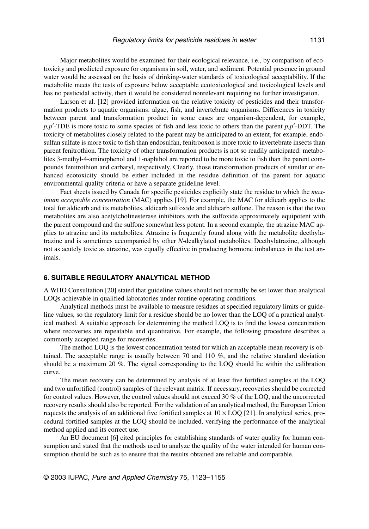Major metabolites would be examined for their ecological relevance, i.e., by comparison of ecotoxicity and predicted exposure for organisms in soil, water, and sediment. Potential presence in ground water would be assessed on the basis of drinking-water standards of toxicological acceptability. If the metabolite meets the tests of exposure below acceptable ecotoxicological and toxicological levels and has no pesticidal activity, then it would be considered nonrelevant requiring no further investigation.

Larson et al. [12] provided information on the relative toxicity of pesticides and their transformation products to aquatic organisms: algae, fish, and invertebrate organisms. Differences in toxicity between parent and transformation product in some cases are organism-dependent, for example, *p,p*′-TDE is more toxic to some species of fish and less toxic to others than the parent *p,p*′-DDT. The toxicity of metabolites closely related to the parent may be anticipated to an extent, for example, endosulfan sulfate is more toxic to fish than endosulfan, fenitrooxon is more toxic to invertebrate insects than parent fenitrothion. The toxicity of other transformation products is not so readily anticipated: metabolites 3-methyl-4-aminophenol and 1-naphthol are reported to be more toxic to fish than the parent compounds fenitrothion and carbaryl, respectively. Clearly, those transformation products of similar or enhanced ecotoxicity should be either included in the residue definition of the parent for aquatic environmental quality criteria or have a separate guideline level.

Fact sheets issued by Canada for specific pesticides explicitly state the residue to which the *maximum acceptable concentration* (MAC) applies [19]. For example, the MAC for aldicarb applies to the total for aldicarb and its metabolites, aldicarb sulfoxide and aldicarb sulfone. The reason is that the two metabolites are also acetylcholinesterase inhibitors with the sulfoxide approximately equipotent with the parent compound and the sulfone somewhat less potent. In a second example, the atrazine MAC applies to atrazine and its metabolites. Atrazine is frequently found along with the metabolite deethylatrazine and is sometimes accompanied by other *N*-dealkylated metabolites. Deethylatrazine, although not as acutely toxic as atrazine, was equally effective in producing hormone imbalances in the test animals.

### **6. SUITABLE REGULATORY ANALYTICAL METHOD**

A WHO Consultation [20] stated that guideline values should not normally be set lower than analytical LOQs achievable in qualified laboratories under routine operating conditions.

Analytical methods must be available to measure residues at specified regulatory limits or guideline values, so the regulatory limit for a residue should be no lower than the LOQ of a practical analytical method. A suitable approach for determining the method LOQ is to find the lowest concentration where recoveries are repeatable and quantitative. For example, the following procedure describes a commonly accepted range for recoveries.

The method LOQ is the lowest concentration tested for which an acceptable mean recovery is obtained. The acceptable range is usually between 70 and 110 %, and the relative standard deviation should be a maximum 20 %. The signal corresponding to the LOQ should lie within the calibration curve.

The mean recovery can be determined by analysis of at least five fortified samples at the LOQ and two unfortified (control) samples of the relevant matrix. If necessary, recoveries should be corrected for control values. However, the control values should not exceed 30 % of the LOQ, and the uncorrected recovery results should also be reported. For the validation of an analytical method, the European Union requests the analysis of an additional five fortified samples at  $10 \times$  LOQ [21]. In analytical series, procedural fortified samples at the LOQ should be included, verifying the performance of the analytical method applied and its correct use.

An EU document [6] cited principles for establishing standards of water quality for human consumption and stated that the methods used to analyze the quality of the water intended for human consumption should be such as to ensure that the results obtained are reliable and comparable.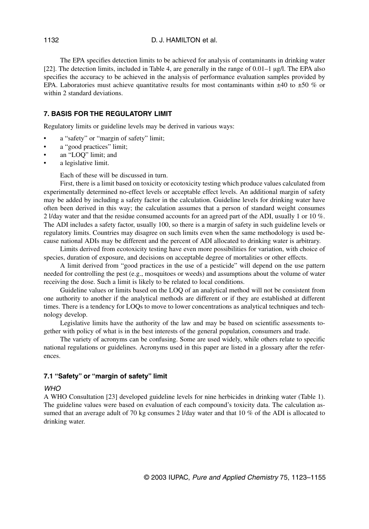The EPA specifies detection limits to be achieved for analysis of contaminants in drinking water [22]. The detection limits, included in Table 4, are generally in the range of  $0.01-1 \mu g/l$ . The EPA also specifies the accuracy to be achieved in the analysis of performance evaluation samples provided by EPA. Laboratories must achieve quantitative results for most contaminants within  $\pm 40$  to  $\pm 50$  % or within 2 standard deviations.

## **7. BASIS FOR THE REGULATORY LIMIT**

Regulatory limits or guideline levels may be derived in various ways:

- a "safety" or "margin of safety" limit;
- a "good practices" limit;
- an "LOO" limit; and
- a legislative limit.

Each of these will be discussed in turn.

First, there is a limit based on toxicity or ecotoxicity testing which produce values calculated from experimentally determined no-effect levels or acceptable effect levels. An additional margin of safety may be added by including a safety factor in the calculation. Guideline levels for drinking water have often been derived in this way; the calculation assumes that a person of standard weight consumes 2 l/day water and that the residue consumed accounts for an agreed part of the ADI, usually 1 or 10 %. The ADI includes a safety factor, usually 100, so there is a margin of safety in such guideline levels or regulatory limits. Countries may disagree on such limits even when the same methodology is used because national ADIs may be different and the percent of ADI allocated to drinking water is arbitrary.

Limits derived from ecotoxicity testing have even more possibilities for variation, with choice of species, duration of exposure, and decisions on acceptable degree of mortalities or other effects.

A limit derived from "good practices in the use of a pesticide" will depend on the use pattern needed for controlling the pest (e.g., mosquitoes or weeds) and assumptions about the volume of water receiving the dose. Such a limit is likely to be related to local conditions.

Guideline values or limits based on the LOQ of an analytical method will not be consistent from one authority to another if the analytical methods are different or if they are established at different times. There is a tendency for LOQs to move to lower concentrations as analytical techniques and technology develop.

Legislative limits have the authority of the law and may be based on scientific assessments together with policy of what is in the best interests of the general population, consumers and trade.

The variety of acronyms can be confusing. Some are used widely, while others relate to specific national regulations or guidelines. Acronyms used in this paper are listed in a glossary after the references.

## **7.1 "Safety" or "margin of safety" limit**

### **WHO**

A WHO Consultation [23] developed guideline levels for nine herbicides in drinking water (Table 1). The guideline values were based on evaluation of each compound's toxicity data. The calculation assumed that an average adult of 70 kg consumes 2 l/day water and that 10 % of the ADI is allocated to drinking water.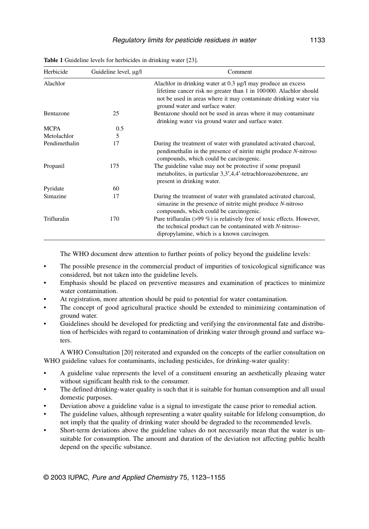| Herbicide     | Guideline level, µg/l | Comment                                                                                                                                                                                                                                  |
|---------------|-----------------------|------------------------------------------------------------------------------------------------------------------------------------------------------------------------------------------------------------------------------------------|
| Alachlor      |                       | Alachlor in drinking water at 0.3 µg/l may produce an excess<br>lifetime cancer risk no greater than 1 in 100000. Alachlor should<br>not be used in areas where it may contaminate drinking water via<br>ground water and surface water. |
| Bentazone     | 25                    | Bentazone should not be used in areas where it may contaminate<br>drinking water via ground water and surface water.                                                                                                                     |
| <b>MCPA</b>   | 0.5                   |                                                                                                                                                                                                                                          |
| Metolachlor   | 5                     |                                                                                                                                                                                                                                          |
| Pendimethalin | 17                    | During the treatment of water with granulated activated charcoal,<br>pendimethalin in the presence of nitrite might produce N-nitroso<br>compounds, which could be carcinogenic.                                                         |
| Propanil      | 175                   | The guideline value may not be protective if some propanil<br>metabolites, in particular 3,3',4,4'-tetrachloroazobenzene, are<br>present in drinking water.                                                                              |
| Pyridate      | 60                    |                                                                                                                                                                                                                                          |
| Simazine      | 17                    | During the treatment of water with granulated activated charcoal,<br>simazine in the presence of nitrite might produce N-nitroso<br>compounds, which could be carcinogenic.                                                              |
| Trifluralin   | 170                   | Pure trifluralin $(>99\%)$ is relatively free of toxic effects. However,<br>the technical product can be contaminated with N-nitroso-<br>dipropylamine, which is a known carcinogen.                                                     |

**Table 1** Guideline levels for herbicides in drinking water [23].

The WHO document drew attention to further points of policy beyond the guideline levels:

- The possible presence in the commercial product of impurities of toxicological significance was considered, but not taken into the guideline levels.
- Emphasis should be placed on preventive measures and examination of practices to minimize water contamination.
- At registration, more attention should be paid to potential for water contamination.
- The concept of good agricultural practice should be extended to minimizing contamination of ground water.
- Guidelines should be developed for predicting and verifying the environmental fate and distribution of herbicides with regard to contamination of drinking water through ground and surface waters.

A WHO Consultation [20] reiterated and expanded on the concepts of the earlier consultation on WHO guideline values for contaminants, including pesticides, for drinking-water quality:

- A guideline value represents the level of a constituent ensuring an aesthetically pleasing water without significant health risk to the consumer.
- The defined drinking-water quality is such that it is suitable for human consumption and all usual domestic purposes.
- Deviation above a guideline value is a signal to investigate the cause prior to remedial action.
- The guideline values, although representing a water quality suitable for lifelong consumption, do not imply that the quality of drinking water should be degraded to the recommended levels.
- Short-term deviations above the guideline values do not necessarily mean that the water is unsuitable for consumption. The amount and duration of the deviation not affecting public health depend on the specific substance.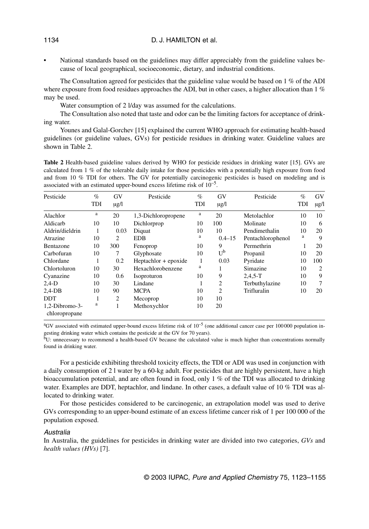• National standards based on the guidelines may differ appreciably from the guideline values because of local geographical, socioeconomic, dietary, and industrial conditions.

The Consultation agreed for pesticides that the guideline value would be based on 1 % of the ADI where exposure from food residues approaches the ADI, but in other cases, a higher allocation than  $1\%$ may be used.

Water consumption of 2 l/day was assumed for the calculations.

The Consultation also noted that taste and odor can be the limiting factors for acceptance of drinking water.

Younes and Galal-Gorchev [15] explained the current WHO approach for estimating health-based guidelines (or guideline values, GVs) for pesticide residues in drinking water. Guideline values are shown in Table 2.

**Table 2** Health-based guideline values derived by WHO for pesticide residues in drinking water [15]. GVs are calculated from 1 % of the tolerable daily intake for those pesticides with a potentially high exposure from food and from 10 % TDI for others. The GV for potentially carcinogenic pesticides is based on modeling and is associated with an estimated upper-bound excess lifetime risk of  $10^{-5}$ .

| Pesticide                       | $\%$       | GV        | Pesticide            | $\%$ | GV             | Pesticide         | $\%$ | GV        |
|---------------------------------|------------|-----------|----------------------|------|----------------|-------------------|------|-----------|
|                                 | <b>TDI</b> | $\mu$ g/l |                      | TDI  | $\mu$ g/l      |                   | TDI  | $\mu$ g/l |
| Alachlor                        | a          | 20        | 1,3-Dichloropropene  | a    | 20             | Metolachlor       | 10   | 10        |
| Aldicarb                        | 10         | 10        | Dichlorprop          | 10   | 100            | Molinate          | 10   | 6         |
| Aldrin/dieldrin                 | 1          | 0.03      | Diquat               | 10   | 10             | Pendimethalin     | 10   | 20        |
| Atrazine                        | 10         | 2         | EDB.                 | a    | $0.4 - 15$     | Pentachlorophenol | a    | 9         |
| Bentazone                       | 10         | 300       | Fenoprop             | 10   | 9              | Permethrin        |      | 20        |
| Carbofuran                      | 10         | 7         | Glyphosate           | 10   | $U^{\text{b}}$ | Propanil          | 10   | 20        |
| Chlordane                       | 1          | 0.2       | Heptachlor + epoxide | 1    | 0.03           | Pyridate          | 10   | 100       |
| Chlortoluron                    | 10         | 30        | Hexachlorobenzene    | a    | 1              | Simazine          | 10   | 2         |
| Cyanazine                       | 10         | 0.6       | Isoproturon          | 10   | 9              | $2,4,5-T$         | 10   | 9         |
| $2,4-D$                         | 10         | 30        | Lindane              |      | 2              | Terbuthylazine    | 10   | 7         |
| $2,4-DB$                        | 10         | 90        | <b>MCPA</b>          | 10   | 2              | Trifluralin       | 10   | 20        |
| <b>DDT</b>                      | 1          | 2         | Mecoprop             | 10   | 10             |                   |      |           |
| 1,2-Dibromo-3-<br>chloropropane | a          | 1         | Methoxychlor         | 10   | 20             |                   |      |           |

 ${}^{a}$ GV associated with estimated upper-bound excess lifetime risk of  $10^{-5}$  (one additional cancer case per 100000 population ingesting drinking water which contains the pesticide at the GV for 70 years).

 $^{b}$ U: unnecessary to recommend a health-based GV because the calculated value is much higher than concentrations normally found in drinking water.

For a pesticide exhibiting threshold toxicity effects, the TDI or ADI was used in conjunction with a daily consumption of 2 l water by a 60-kg adult. For pesticides that are highly persistent, have a high bioaccumulation potential, and are often found in food, only 1 % of the TDI was allocated to drinking water. Examples are DDT, heptachlor, and lindane. In other cases, a default value of 10 % TDI was allocated to drinking water.

For those pesticides considered to be carcinogenic, an extrapolation model was used to derive GVs corresponding to an upper-bound estimate of an excess lifetime cancer risk of 1 per 100 000 of the population exposed.

#### Australia

In Australia, the guidelines for pesticides in drinking water are divided into two categories, *GVs* and *health values (HVs)* [7].

#### 1134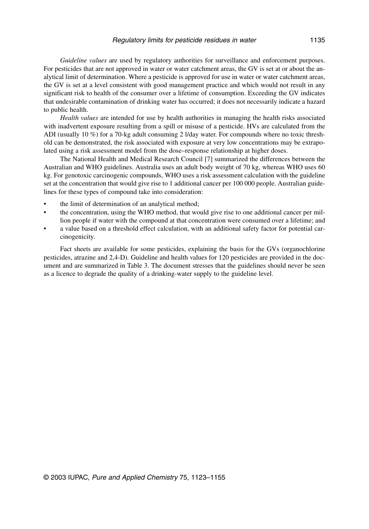*Guideline values* are used by regulatory authorities for surveillance and enforcement purposes. For pesticides that are not approved in water or water catchment areas, the GV is set at or about the analytical limit of determination. Where a pesticide is approved for use in water or water catchment areas, the GV is set at a level consistent with good management practice and which would not result in any significant risk to health of the consumer over a lifetime of consumption. Exceeding the GV indicates that undesirable contamination of drinking water has occurred; it does not necessarily indicate a hazard to public health.

*Health values* are intended for use by health authorities in managing the health risks associated with inadvertent exposure resulting from a spill or misuse of a pesticide. HVs are calculated from the ADI (usually 10 %) for a 70-kg adult consuming 2 l/day water. For compounds where no toxic threshold can be demonstrated, the risk associated with exposure at very low concentrations may be extrapolated using a risk assessment model from the dose–response relationship at higher doses.

The National Health and Medical Research Council [7] summarized the differences between the Australian and WHO guidelines. Australia uses an adult body weight of 70 kg, whereas WHO uses 60 kg. For genotoxic carcinogenic compounds, WHO uses a risk assessment calculation with the guideline set at the concentration that would give rise to 1 additional cancer per 100 000 people. Australian guidelines for these types of compound take into consideration:

- the limit of determination of an analytical method;
- the concentration, using the WHO method, that would give rise to one additional cancer per million people if water with the compound at that concentration were consumed over a lifetime; and
- a value based on a threshold effect calculation, with an additional safety factor for potential carcinogenicity.

Fact sheets are available for some pesticides, explaining the basis for the GVs (organochlorine pesticides, atrazine and 2,4-D). Guideline and health values for 120 pesticides are provided in the document and are summarized in Table 3. The document stresses that the guidelines should never be seen as a licence to degrade the quality of a drinking-water supply to the guideline level.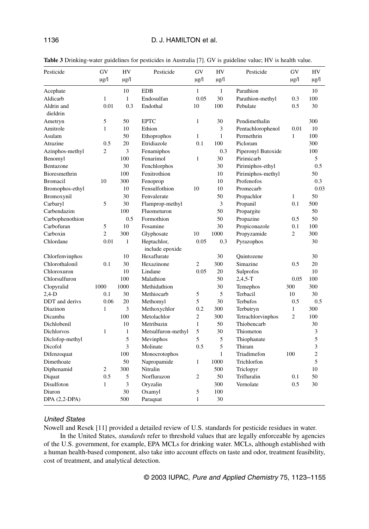|  |  | D. J |
|--|--|------|
|  |  |      |

| Pesticide         | GV             | <b>HV</b>    | Pesticide          | GV             | HV           | Pesticide          | GV             | HV             |
|-------------------|----------------|--------------|--------------------|----------------|--------------|--------------------|----------------|----------------|
|                   | $\mu$ g/l      | $\mu$ g/l    |                    | $\mu g/l$      | $\mu$ g/l    |                    | µg/l           | $\mu$ g/l      |
| Acephate          |                | 10           | <b>EDB</b>         | $\mathbf{1}$   | $\mathbf{1}$ | Parathion          |                | 10             |
| Aldicarb          | $\mathbf{1}$   | $\mathbf{1}$ | Endosulfan         | 0.05           | 30           | Parathion-methyl   | 0.3            | 100            |
| Aldrin and        | 0.01           | 0.3          | Endothal           | 10             | 100          | Pebulate           | 0.5            | 30             |
| dieldrin          |                |              |                    |                |              |                    |                |                |
| Ametryn           | 5              | 50           | <b>EPTC</b>        | $\mathbf{1}$   | 30           | Pendimethalin      |                | 300            |
| Amitrole          | $\mathbf{1}$   | 10           | Ethion             |                | 3            | Pentachlorophenol  | 0.01           | 10             |
| Asulam            |                | 50           | Ethoprophos        | $\mathbf{1}$   | $\mathbf{1}$ | Permethrin         | $\mathbf{1}$   | 100            |
| Atrazine          | 0.5            | 20           | Etridiazole        | 0.1            | 100          | Picloram           |                | 300            |
| Azinphos-methyl   | 2              | 3            | Fenamiphos         |                | 0.3          | Piperonyl Butoxide |                | 100            |
| Benomyl           |                | 100          | Fenarimol          | $\mathbf{1}$   | 30           | Pirimicarb         |                | 5              |
| Bentazone         |                | 30           | Fenchlorphos       |                | 30           | Pirimiphos-ethyl   |                | 0.5            |
| Bioresmethrin     |                | 100          | Fenitrothion       |                | 10           | Pirimiphos-methyl  |                | 50             |
| <b>Bromacil</b>   | 10             | 300          | Fenoprop           |                | 10           | Profenofos         |                | 0.3            |
| Bromophos-ethyl   |                | 10           | Fensulfothion      | 10             | 10           | Promecarb          |                | 0.03           |
| Bromoxynil        |                | 30           | Fenvalerate        |                | 50           | Propachlor         | $\mathbf{1}$   | 50             |
| Carbaryl          | 5              | 30           | Flamprop-methyl    |                | 3            | Propanil           | 0.1            | 500            |
| Carbendazim       |                | 100          | Fluometuron        |                | 50           | Propargite         |                | 50             |
| Carbophenothion   |                | 0.5          | Formothion         |                | 50           | Propazine          | 0.5            | 50             |
| Carbofuran        | 5              | 10           | Fosamine           |                | 30           | Propiconazole      | 0.1            | 100            |
| Carboxin          | $\overline{c}$ | 300          | Glyphosate         | 10             | 1000         | Propyzamide        | 2              | 300            |
| Chlordane         | 0.01           | $\mathbf{1}$ | Heptachlor,        | 0.05           | 0.3          | Pyrazophos         |                | 30             |
|                   |                |              | include epoxide    |                |              |                    |                |                |
| Chlorfenvinphos   |                | 10           | Hexaflurate        |                | 30           | Ouintozene         |                | 30             |
| Chlorothalonil    | 0.1            | 30           | Hexazinone         | $\overline{c}$ | 300          | Simazine           | 0.5            | 20             |
| Chloroxuron       |                | 10           | Lindane            | 0.05           | 20           | Sulprofos          |                | 10             |
| Chlorsulfuron     |                | 100          | Malathion          |                | 50           | $2,4,5-T$          | 0.05           | 100            |
| Clopyralid        | 1000           | 1000         | Methidathion       |                | 30           | Temephos           | 300            | 300            |
| $2.4-D$           | 0.1            | 30           | Methiocarb         | 5              | 5            | Terbacil           | 10             | 30             |
| DDT and derivs    | 0.06           | 20           | Methomyl           | 5              | 30           | <b>Terbufos</b>    | 0.5            | 0.5            |
| Diazinon          | $\mathbf{1}$   | 3            | Methoxychlor       | 0.2            | 300          | Terbutryn          | $\mathbf{1}$   | 300            |
| Dicamba           |                | 100          | Metolachlor        | $\overline{2}$ | 300          | Tetrachlorvinphos  | $\overline{c}$ | 100            |
| Dichlobenil       |                | 10           | Metribuzin         | $\mathbf{1}$   | 50           | Thiobencarb        |                | 30             |
| Dichlorvos        | $\mathbf{1}$   | $\mathbf{1}$ | Metsulfuron-methyl | 5              | 30           | Thiometon          |                | 3              |
| Diclofop-methyl   |                | 5            | Mevinphos          | 5              | 5            | Thiophanate        |                | 5              |
| Dicofol           |                | 3            | Molinate           | 0.5            | 5            | Thiram             |                | 3              |
| Difenzoquat       |                | 100          | Monocrotophos      |                | $\mathbf{1}$ | Triadimefon        | 100            | $\overline{c}$ |
| Dimethoate        |                | 50           | Napropamide        | $\mathbf{1}$   | 1000         | Trichlorfon        |                | 5              |
| Diphenamid        | 2              | 300          | Nitralin           |                | 500          | Triclopyr          |                | 10             |
| Diquat            | 0.5            | 5            | Norflurazon        | $\overline{2}$ | 50           | Trifluralin        | 0.1            | 50             |
| Disulfoton        | $\mathbf{1}$   | 3            | Oryzalin           |                | 300          | Vernolate          | 0.5            | 30             |
| Diuron            |                | 30           | Oxamyl             | 5              | 100          |                    |                |                |
| $DPA$ $(2,2-DPA)$ |                | 500          | Paraquat           | $\mathbf{1}$   | 30           |                    |                |                |
|                   |                |              |                    |                |              |                    |                |                |

**Table 3** Drinking-water guidelines for pesticides in Australia [7]. GV is guideline value; HV is health value.

# United States

Nowell and Resek [11] provided a detailed review of U.S. standards for pesticide residues in water.

In the United States, *standards* refer to threshold values that are legally enforceable by agencies of the U.S. government, for example, EPA MCLs for drinking water. MCLs, although established with a human health-based component, also take into account effects on taste and odor, treatment feasibility, cost of treatment, and analytical detection.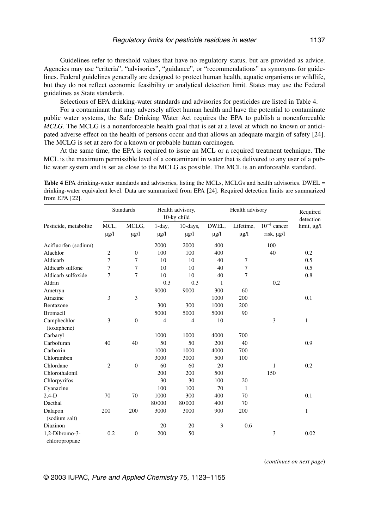Guidelines refer to threshold values that have no regulatory status, but are provided as advice. Agencies may use "criteria", "advisories", "guidance", or "recommendations" as synonyms for guidelines. Federal guidelines generally are designed to protect human health, aquatic organisms or wildlife, but they do not reflect economic feasibility or analytical detection limit. States may use the Federal guidelines as State standards.

Selections of EPA drinking-water standards and advisories for pesticides are listed in Table 4.

For a contaminant that may adversely affect human health and have the potential to contaminate public water systems, the Safe Drinking Water Act requires the EPA to publish a nonenforceable *MCLG*. The MCLG is a nonenforceable health goal that is set at a level at which no known or anticipated adverse effect on the health of persons occur and that allows an adequate margin of safety [24]. The MCLG is set at zero for a known or probable human carcinogen.

At the same time, the EPA is required to issue an MCL or a required treatment technique. The MCL is the maximum permissible level of a contaminant in water that is delivered to any user of a public water system and is set as close to the MCLG as possible. The MCL is an enforceable standard.

**Table 4** EPA drinking-water standards and advisories, listing the MCLs, MCLGs and health advisories. DWEL = drinking-water equivalent level. Data are summarized from EPA [24]. Required detection limits are summarized from EPA [22].

|                                 |                   | <b>Standards</b>   |                        | Health advisory,<br>10-kg child |                    | Health advisory        |                                |                               |  |
|---------------------------------|-------------------|--------------------|------------------------|---------------------------------|--------------------|------------------------|--------------------------------|-------------------------------|--|
| Pesticide, metabolite           | MCL,<br>$\mu g/l$ | MCLG,<br>$\mu$ g/l | $1$ -day,<br>$\mu$ g/l | $10$ -days,<br>$\mu$ g/l        | DWEL,<br>$\mu$ g/l | Lifetime.<br>$\mu$ g/l | $10^{-4}$ cancer<br>risk, µg/l | detection<br>$limit, \mu g/l$ |  |
| Acifluorfen (sodium)            |                   |                    | 2000                   | 2000                            | 400                |                        | 100                            |                               |  |
| Alachlor                        | $\overline{2}$    | $\boldsymbol{0}$   | 100                    | 100                             | 400                |                        | 40                             | 0.2                           |  |
| Aldicarb                        | 7                 | 7                  | 10                     | 10                              | 40                 | 7                      |                                | 0.5                           |  |
| Aldicarb sulfone                | 7                 | 7                  | 10                     | 10                              | 40                 | 7                      |                                | 0.5                           |  |
| Aldicarb sulfoxide              | $\overline{7}$    | 7                  | 10                     | 10                              | 40                 | 7                      |                                | 0.8                           |  |
| Aldrin                          |                   |                    | 0.3                    | 0.3                             | 1                  |                        | 0.2                            |                               |  |
| Ametryn                         |                   |                    | 9000                   | 9000                            | 300                | 60                     |                                |                               |  |
| Atrazine                        | 3                 | $\mathfrak{Z}$     |                        |                                 | 1000               | 200                    |                                | 0.1                           |  |
| Bentazone                       |                   |                    | 300                    | 300                             | 1000               | 200                    |                                |                               |  |
| <b>Bromacil</b>                 |                   |                    | 5000                   | 5000                            | 5000               | 90                     |                                |                               |  |
| Camphechlor<br>(toxaphene)      | 3                 | $\mathbf{0}$       | $\overline{4}$         | 4                               | 10                 |                        | 3                              | 1                             |  |
| Carbaryl                        |                   |                    | 1000                   | 1000                            | 4000               | 700                    |                                |                               |  |
| Carbofuran                      | 40                | 40                 | 50                     | 50                              | 200                | 40                     |                                | 0.9                           |  |
| Carboxin                        |                   |                    | 1000                   | 1000                            | 4000               | 700                    |                                |                               |  |
| Chloramben                      |                   |                    | 3000                   | 3000                            | 500                | 100                    |                                |                               |  |
| Chlordane                       | $\overline{c}$    | $\mathbf{0}$       | 60                     | 60                              | 20                 |                        | 1                              | 0.2                           |  |
| Chlorothalonil                  |                   |                    | 200                    | 200                             | 500                |                        | 150                            |                               |  |
| Chlorpyrifos                    |                   |                    | 30                     | 30                              | 100                | 20                     |                                |                               |  |
| Cyanazine                       |                   |                    | 100                    | 100                             | 70                 | $\mathbf{1}$           |                                |                               |  |
| $2,4-D$                         | 70                | 70                 | 1000                   | 300                             | 400                | 70                     |                                | 0.1                           |  |
| Dacthal                         |                   |                    | 80000                  | 80000                           | 400                | 70                     |                                |                               |  |
| Dalapon<br>(sodium salt)        | 200               | 200                | 3000                   | 3000                            | 900                | 200                    |                                | 1                             |  |
| Diazinon                        |                   |                    | 20                     | 20                              | 3                  | 0.6                    |                                |                               |  |
| 1,2-Dibromo-3-<br>chloropropane | 0.2               | $\boldsymbol{0}$   | 200                    | 50                              |                    |                        | 3                              | 0.02                          |  |

(*continues on next page*)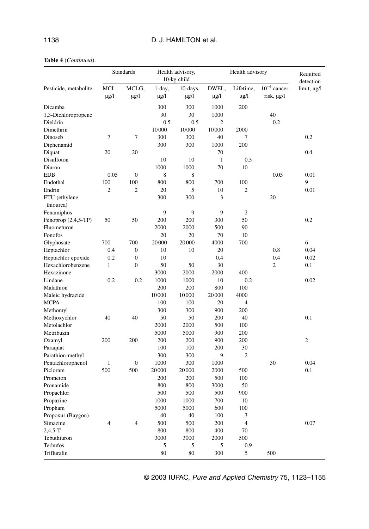# **Table 4** (*Continued*).

|                       |                | Standards        |           | Health advisory,<br>10-kg child |              | Health advisory |                  |                          |
|-----------------------|----------------|------------------|-----------|---------------------------------|--------------|-----------------|------------------|--------------------------|
| Pesticide, metabolite | MCL,           | MCLG,            | $1$ -day, | $10$ -days,                     | DWEL,        | Lifetime,       | $10^{-4}$ cancer | detection<br>limit, µg/l |
|                       | $\mu g/l$      | $\mu$ g/l        | $\mu$ g/l | $\mu$ g/l                       | µg/l         | $\mu$ g/l       | risk, µg/l       |                          |
| Dicamba               |                |                  | 300       | 300                             | 1000         | 200             |                  |                          |
| 1,3-Dichloropropene   |                |                  | 30        | 30                              | 1000         |                 | 40               |                          |
| Dieldrin              |                |                  | 0.5       | 0.5                             | 2            |                 | 0.2              |                          |
| Dimethrin             |                |                  | 10000     | 10000                           | 10000        | 2000            |                  |                          |
| Dinoseb               | 7              | 7                | 300       | 300                             | 40           | 7               |                  | 0.2                      |
| Diphenamid            |                |                  | 300       | 300                             | 1000         | 200             |                  |                          |
| Diquat                | 20             | 20               |           |                                 | 70           |                 |                  | 0.4                      |
| Disulfoton            |                |                  | 10        | 10                              | $\mathbf{1}$ | 0.3             |                  |                          |
| Diuron                |                |                  | 1000      | 1000                            | 70           | 10              |                  |                          |
| <b>EDB</b>            | 0.05           | $\mathbf{0}$     | 8         | 8                               |              |                 | 0.05             | 0.01                     |
| Endothal              | 100            | 100              | 800       | 800                             | 700          | 100             |                  | 9                        |
| Endrin                | $\overline{c}$ | $\overline{2}$   | 20        | 5                               | 10           | 2               |                  | 0.01                     |
| ETU (ethylene         |                |                  | 300       | 300                             | 3            |                 | 20               |                          |
| thiourea)             |                |                  |           |                                 |              |                 |                  |                          |
| Fenamiphos            |                |                  | 9         | 9                               | 9            | $\mathfrak{2}$  |                  |                          |
| Fenoprop $(2,4,5-TP)$ | 50             | 50               | 200       | 200                             | 300          | 50              |                  | 0.2                      |
| Fluometuron           |                |                  | 2000      | 2000                            | 500          | 90              |                  |                          |
| Fonofos               |                |                  | 20        | 20                              | 70           | 10              |                  |                          |
| Glyphosate            | 700            | 700              | 20000     | 20000                           | 4000         | 700             |                  | 6                        |
| Heptachlor            | 0.4            | $\mathbf{0}$     | 10        | 10                              | 20           |                 | 0.8              | 0.04                     |
| Heptachlor epoxide    | 0.2            | $\mathbf{0}$     | 10        |                                 | 0.4          |                 | 0.4              | 0.02                     |
| Hexachlorobenzene     | $\mathbf{1}$   |                  | 50        |                                 | 30           |                 | $\overline{c}$   |                          |
| Hexazinone            |                | $\boldsymbol{0}$ |           | 50                              |              |                 |                  | 0.1                      |
|                       |                |                  | 3000      | 2000                            | 2000         | 400             |                  |                          |
| Lindane               | 0.2            | 0.2              | 1000      | 1000                            | 10           | 0.2             |                  | 0.02                     |
| Malathion             |                |                  | 200       | 200                             | 800          | 100             |                  |                          |
| Maleic hydrazide      |                |                  | 10000     | 10000                           | 20000        | 4000            |                  |                          |
| <b>MCPA</b>           |                |                  | 100       | 100                             | 20           | $\overline{4}$  |                  |                          |
| Methomyl              |                |                  | 300       | 300                             | 900          | 200             |                  |                          |
| Methoxychlor          | 40             | 40               | 50        | 50                              | 200          | 40              |                  | 0.1                      |
| Metolachlor           |                |                  | 2000      | 2000                            | 500          | 100             |                  |                          |
| Metribuzin            |                |                  | 5000      | 5000                            | 900          | 200             |                  |                          |
| Oxamyl                | 200            | 200              | 200       | 200                             | 900          | 200             |                  | 2                        |
| Paraquat              |                |                  | 100       | 100                             | 200          | 30              |                  |                          |
| Parathion-methyl      |                |                  | 300       | 300                             | 9            | $\mathfrak{2}$  |                  |                          |
| Pentachlorophenol     | 1              | $\mathbf{0}$     | 1000      | 300                             | 1000         |                 | 30               | 0.04                     |
| Picloram              | 500            | 500              | 20000     | 20000                           | 2000         | 500             |                  | 0.1                      |
| Prometon              |                |                  | 200       | 200                             | 500          | 100             |                  |                          |
| Pronamide             |                |                  | 800       | 800                             | 3000         | 50              |                  |                          |
| Propachlor            |                |                  | 500       | 500                             | 500          | 900             |                  |                          |
| Propazine             |                |                  | 1000      | 1000                            | 700          | 10              |                  |                          |
| Propham               |                |                  | 5000      | 5000                            | 600          | 100             |                  |                          |
| Propoxur (Baygon)     |                |                  | 40        | 40                              | 100          | 3               |                  |                          |
| Simazine              | $\overline{4}$ | $\overline{4}$   | 500       | 500                             | 200          | $\overline{4}$  |                  | 0.07                     |
| $2,4,5-T$             |                |                  | 800       | 800                             | 400          | $70\,$          |                  |                          |
| Tebuthiuron           |                |                  | 3000      | 3000                            | 2000         | 500             |                  |                          |
| Terbufos              |                |                  | 5         | 5                               | 5            | 0.9             |                  |                          |
| Trifluralin           |                |                  | 80        | 80                              | 300          | 5               | 500              |                          |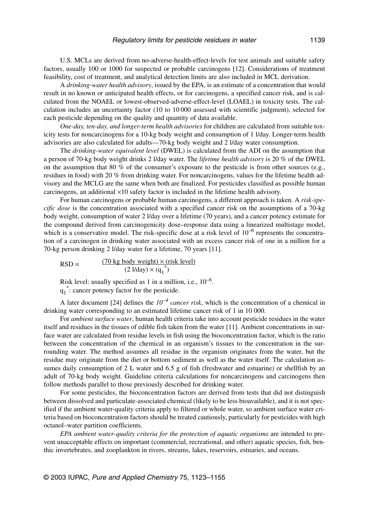U.S. MCLs are derived from no-adverse-health-effect-levels for test animals and suitable safety factors, usually 100 or 1000 for suspected or probable carcinogens [12]. Considerations of treatment feasibility, cost of treatment, and analytical detection limits are also included in MCL derivation.

A *drinking-water health advisory*, issued by the EPA, is an estimate of a concentration that would result in no known or anticipated health effects, or for carcinogens, a specified cancer risk, and is calculated from the NOAEL or lowest-observed-adverse-effect-level (LOAEL) in toxicity tests. The calculation includes an uncertainty factor (10 to 10 000 assessed with scientific judgment), selected for each pesticide depending on the quality and quantity of data available.

*One-day, ten-day, and longer-term health advisories* for children are calculated from suitable toxicity tests for noncarcinogens for a 10-kg body weight and consumption of 1 l/day. Longer-term health advisories are also calculated for adults—70-kg body weight and 2 l/day water consumption.

The *drinking-water equivalent level* (DWEL) is calculated from the ADI on the assumption that a person of 70-kg body weight drinks 2 l/day water. The *lifetime health advisory* is 20 % of the DWEL on the assumption that 80  $\%$  of the consumer's exposure to the pesticide is from other sources (e.g., residues in food) with 20 % from drinking water. For noncarcinogens, values for the lifetime health advisory and the MCLG are the same when both are finalized. For pesticides classified as possible human carcinogens, an additional ×10 safety factor is included in the lifetime health advisory.

For human carcinogens or probable human carcinogens, a different approach is taken. A *risk-specific dose* is the concentration associated with a specified cancer risk on the assumptions of a 70-kg body weight, consumption of water 2 l/day over a lifetime (70 years), and a cancer potency estimate for the compound derived from carcinogenicity dose–response data using a linearized multistage model, which is a conservative model. The risk-specific dose at a risk level of  $10^{-6}$  represents the concentration of a carcinogen in drinking water associated with an excess cancer risk of one in a million for a 70-kg person drinking 2 l/day water for a lifetime, 70 years [11].

$$
RSD = \frac{(70 \text{ kg body weight}) \times (\text{risk level})}{(2 \text{ Iday}) \times (q_1^*)}
$$

Risk level: usually specified as 1 in a million, i.e., 10–6.

 $q_1^*$ : cancer potency factor for the pesticide.

A later document [24] defines the  $10^{-4}$  *cancer risk*, which is the concentration of a chemical in drinking water corresponding to an estimated lifetime cancer risk of 1 in 10 000.

For *ambient surface water*, human health criteria take into account pesticide residues in the water itself and residues in the tissues of edible fish taken from the water [11]. Ambient concentrations in surface water are calculated from residue levels in fish using the bioconcentration factor, which is the ratio between the concentration of the chemical in an organism's tissues to the concentration in the surrounding water. The method assumes all residue in the organism originates from the water, but the residue may originate from the diet or bottom sediment as well as the water itself. The calculation assumes daily consumption of 2 L water and 6.5 g of fish (freshwater and estuarine) or shellfish by an adult of 70-kg body weight. Guideline criteria calculations for noncarcinogens and carcinogens then follow methods parallel to those previously described for drinking water.

For some pesticides, the bioconcentration factors are derived from tests that did not distinguish between dissolved and particulate-associated chemical (likely to be less bioavailable), and it is not specified if the ambient water-quality criteria apply to filtered or whole water, so ambient surface water criteria based on bioconcentration factors should be treated cautiously, particularly for pesticides with high octanol–water partition coefficients.

*EPA ambient water-quality criteria for the protection of aquatic organisms* are intended to prevent unacceptable effects on important (commercial, recreational, and other) aquatic species, fish, benthic invertebrates, and zooplankton in rivers, streams, lakes, reservoirs, estuaries, and oceans.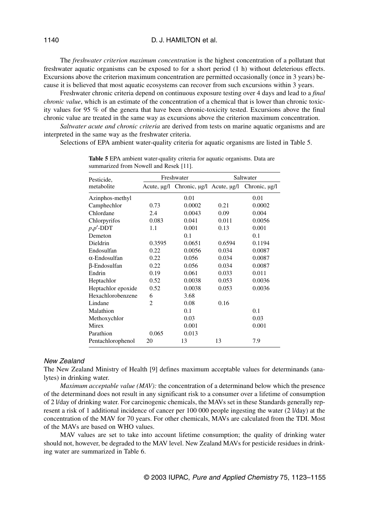The *freshwater criterion maximum concentration* is the highest concentration of a pollutant that freshwater aquatic organisms can be exposed to for a short period (1 h) without deleterious effects. Excursions above the criterion maximum concentration are permitted occasionally (once in 3 years) because it is believed that most aquatic ecosystems can recover from such excursions within 3 years.

Freshwater chronic criteria depend on continuous exposure testing over 4 days and lead to a *final chronic value*, which is an estimate of the concentration of a chemical that is lower than chronic toxicity values for 95% of the genera that have been chronic-toxicity tested. Excursions above the final chronic value are treated in the same way as excursions above the criterion maximum concentration.

*Saltwater acute and chronic criteria* are derived from tests on marine aquatic organisms and are interpreted in the same way as the freshwater criteria.

Selections of EPA ambient water-quality criteria for aquatic organisms are listed in Table 5.

| Pesticide,         |                | Freshwater                                          |        | Saltwater |
|--------------------|----------------|-----------------------------------------------------|--------|-----------|
| metabolite         |                | Acute, µg/l Chronic, µg/l Acute, µg/l Chronic, µg/l |        |           |
| Azinphos-methyl    |                | 0.01                                                |        | 0.01      |
| Camphechlor        | 0.73           | 0.0002                                              | 0.21   | 0.0002    |
| Chlordane          | 2.4            | 0.0043                                              | 0.09   | 0.004     |
| Chlorpyrifos       | 0.083          | 0.041                                               | 0.011  | 0.0056    |
| $p, p'$ -DDT       | 1.1            | 0.001                                               | 0.13   | 0.001     |
| Demeton            |                | 0.1                                                 |        | 0.1       |
| Dieldrin           | 0.3595         | 0.0651                                              | 0.6594 | 0.1194    |
| Endosulfan         | 0.22           | 0.0056                                              | 0.034  | 0.0087    |
| α-Endosulfan       | 0.22           | 0.056                                               | 0.034  | 0.0087    |
| β-Endosulfan       | 0.22           | 0.056                                               | 0.034  | 0.0087    |
| Endrin             | 0.19           | 0.061                                               | 0.033  | 0.011     |
| Heptachlor         | 0.52           | 0.0038                                              | 0.053  | 0.0036    |
| Heptachlor epoxide | 0.52           | 0.0038                                              | 0.053  | 0.0036    |
| Hexachlorobenzene  | 6              | 3.68                                                |        |           |
| Lindane            | $\overline{c}$ | 0.08                                                | 0.16   |           |
| Malathion          |                | 0.1                                                 |        | 0.1       |
| Methoxychlor       |                | 0.03                                                |        | 0.03      |
| Mirex              |                | 0.001                                               |        | 0.001     |
| Parathion          | 0.065          | 0.013                                               |        |           |
| Pentachlorophenol  | 20             | 13                                                  | 13     | 7.9       |
|                    |                |                                                     |        |           |

**Table 5** EPA ambient water-quality criteria for aquatic organisms. Data are summarized from Nowell and Resek [11].

#### New Zealand

The New Zealand Ministry of Health [9] defines maximum acceptable values for determinands (analytes) in drinking water.

*Maximum acceptable value (MAV):* the concentration of a determinand below which the presence of the determinand does not result in any significant risk to a consumer over a lifetime of consumption of 2 l/day of drinking water. For carcinogenic chemicals, the MAVs set in these Standards generally represent a risk of 1 additional incidence of cancer per 100 000 people ingesting the water (2 l/day) at the concentration of the MAV for 70 years. For other chemicals, MAVs are calculated from the TDI. Most of the MAVs are based on WHO values.

MAV values are set to take into account lifetime consumption; the quality of drinking water should not, however, be degraded to the MAV level. New Zealand MAVs for pesticide residues in drinking water are summarized in Table 6.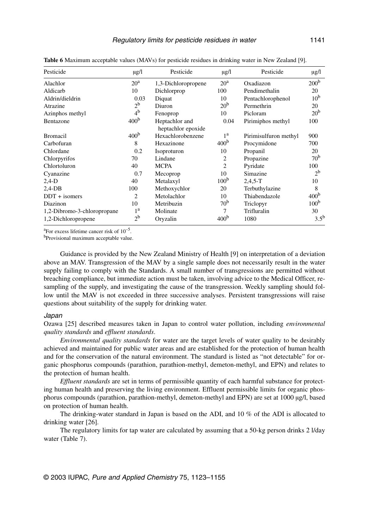| Pesticide                   | $\mu$ g/l        | Pesticide           | $\mu$ g/l        | Pesticide             | $\mu$ g/l        |
|-----------------------------|------------------|---------------------|------------------|-----------------------|------------------|
| Alachlor                    | 20 <sup>a</sup>  | 1,3-Dichloropropene | 20 <sup>a</sup>  | Oxadiazon             | 200 <sup>b</sup> |
| Aldicarb                    | 10               | Dichlorprop         | 100              | Pendimethalin         | 20               |
| Aldrin/dieldrin             | 0.03             | Diquat              | 10               | Pentachlorophenol     | 10 <sup>b</sup>  |
| Atrazine                    | $2^{\rm b}$      | Diuron              | 20 <sup>b</sup>  | Permethrin            | 20               |
| Azinphos methyl             | 4 <sup>b</sup>   | Fenoprop            | 10               | Picloram              | 20 <sup>b</sup>  |
| Bentazone                   | 400 <sup>b</sup> | Heptachlor and      | 0.04             | Pirimiphos methyl     | 100              |
|                             |                  | heptachlor epoxide  |                  |                       |                  |
| <b>Bromacil</b>             | 400 <sup>b</sup> | Hexachlorobenzene   | 1 <sup>a</sup>   | Pirimisulfuron methyl | 900              |
| Carbofuran                  | 8                | Hexazinone          | 400 <sup>b</sup> | Procymidone           | 700              |
| Chlordane                   | 0.2              | Isoproturon         | 10               | Propanil              | 20               |
| Chlorpyrifos                | 70               | Lindane             | 2                | Propazine             | 70 <sup>b</sup>  |
| Chlortoluron                | 40               | <b>MCPA</b>         | 2                | Pyridate              | 100              |
| Cyanazine                   | 0.7              | Mecoprop            | 10               | Simazine              | $2^{\rm b}$      |
| $2,4-D$                     | 40               | Metalaxyl           | 100 <sup>b</sup> | $2,4,5-T$             | 10               |
| $2,4-DB$                    | 100              | Methoxychlor        | 20               | Terbuthylazine        | 8                |
| $DDT + isomers$             | 2                | Metolachlor         | 10               | Thiabendazole         | 400 <sup>b</sup> |
| Diazinon                    | 10               | Metribuzin          | 70 <sup>b</sup>  | Triclopyr             | 100 <sup>b</sup> |
| 1,2-Dibromo-3-chloropropane | 1 <sup>a</sup>   | Molinate            |                  | Trifluralin           | 30               |
| 1,2-Dichloropropene         | $2^{\rm b}$      | Oryzalin            | 400 <sup>b</sup> | 1080                  | $3.5^{\rm b}$    |

**Table 6** Maximum acceptable values (MAVs) for pesticide residues in drinking water in New Zealand [9].

 ${}^{a}$ For excess lifetime cancer risk of  $10^{-5}$ .

b<sub>Provisional maximum acceptable value.</sub>

Guidance is provided by the New Zealand Ministry of Health [9] on interpretation of a deviation above an MAV. Transgression of the MAV by a single sample does not necessarily result in the water supply failing to comply with the Standards. A small number of transgressions are permitted without breaching compliance, but immediate action must be taken, involving advice to the Medical Officer, resampling of the supply, and investigating the cause of the transgression. Weekly sampling should follow until the MAV is not exceeded in three successive analyses. Persistent transgressions will raise questions about suitability of the supply for drinking water.

#### Japan

Ozawa [25] described measures taken in Japan to control water pollution, including *environmental quality standards* and *effluent standards*.

*Environmental quality standards* for water are the target levels of water quality to be desirably achieved and maintained for public water areas and are established for the protection of human health and for the conservation of the natural environment. The standard is listed as "not detectable" for organic phosphorus compounds (parathion, parathion-methyl, demeton-methyl, and EPN) and relates to the protection of human health.

*Effluent standards* are set in terms of permissible quantity of each harmful substance for protecting human health and preserving the living environment. Effluent permissible limits for organic phosphorus compounds (parathion, parathion-methyl, demeton-methyl and EPN) are set at 1000 µg/l, based on protection of human health.

The drinking-water standard in Japan is based on the ADI, and 10 % of the ADI is allocated to drinking water [26].

The regulatory limits for tap water are calculated by assuming that a 50-kg person drinks 2 l/day water (Table 7).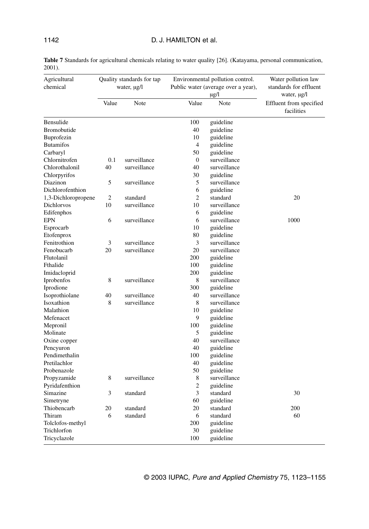| Agricultural<br>chemical | Quality standards for tap<br>water, µg/l |              |              | Environmental pollution control.<br>Public water (average over a year),<br>$\mu$ g/l | Water pollution law<br>standards for effluent<br>water, µg/l |  |
|--------------------------|------------------------------------------|--------------|--------------|--------------------------------------------------------------------------------------|--------------------------------------------------------------|--|
|                          | Value                                    | Note         | Value        | Note                                                                                 | Effluent from specified<br>facilities                        |  |
| Bensulide                |                                          |              | 100          | guideline                                                                            |                                                              |  |
| <b>Bromobutide</b>       |                                          |              | 40           | guideline                                                                            |                                                              |  |
| Buprofezin               |                                          |              | 10           | guideline                                                                            |                                                              |  |
| <b>Butamifos</b>         |                                          |              | 4            | guideline                                                                            |                                                              |  |
| Carbaryl                 |                                          |              | 50           | guideline                                                                            |                                                              |  |
| Chlornitrofen            | 0.1                                      | surveillance | $\mathbf{0}$ | surveillance                                                                         |                                                              |  |
| Chlorothalonil           | 40                                       | surveillance | 40           | surveillance                                                                         |                                                              |  |
| Chlorpyrifos             |                                          |              | 30           | guideline                                                                            |                                                              |  |
| Diazinon                 | 5                                        | surveillance | 5            | surveillance                                                                         |                                                              |  |
| Dichlorofenthion         |                                          |              | 6            | guideline                                                                            |                                                              |  |
| 1,3-Dichloropropene      | $\overline{2}$                           | standard     | 2            | standard                                                                             | 20                                                           |  |
| Dichlorvos               | 10                                       | surveillance | 10           | surveillance                                                                         |                                                              |  |
| Edifenphos               |                                          |              | 6            | guideline                                                                            |                                                              |  |
| <b>EPN</b>               | 6                                        | surveillance | 6            | surveillance                                                                         | 1000                                                         |  |
| Esprocarb                |                                          |              | 10           | guideline                                                                            |                                                              |  |
| Etofenprox               |                                          |              | 80           | guideline                                                                            |                                                              |  |
| Fenitrothion             | 3                                        | surveillance | 3            | surveillance                                                                         |                                                              |  |
| Fenobucarb               | 20                                       | surveillance | 20           | surveillance                                                                         |                                                              |  |
| Flutolanil               |                                          |              | 200          | guideline                                                                            |                                                              |  |
| Fthalide                 |                                          |              | 100          | guideline                                                                            |                                                              |  |
| Imidacloprid             |                                          |              | 200          | guideline                                                                            |                                                              |  |
| Iprobenfos               | 8                                        | surveillance | 8            | surveillance                                                                         |                                                              |  |
| Iprodione                |                                          |              | 300          | guideline                                                                            |                                                              |  |
| Isoprothiolane           | 40                                       | surveillance | 40           | surveillance                                                                         |                                                              |  |
| Isoxathion               | 8                                        | surveillance | 8            | surveillance                                                                         |                                                              |  |
| Malathion                |                                          |              | 10           | guideline                                                                            |                                                              |  |
| Mefenacet                |                                          |              | 9            | guideline                                                                            |                                                              |  |
| Mepronil                 |                                          |              | 100          | guideline                                                                            |                                                              |  |
| Molinate                 |                                          |              | 5            | guideline                                                                            |                                                              |  |
| Oxine copper             |                                          |              | 40           | surveillance                                                                         |                                                              |  |
| Pencyuron                |                                          |              | 40           | guideline                                                                            |                                                              |  |
| Pendimethalin            |                                          |              | 100          | guideline                                                                            |                                                              |  |
| Pretilachlor             |                                          |              | 40           | guideline                                                                            |                                                              |  |
| Probenazole              |                                          |              | 50           | guideline                                                                            |                                                              |  |
| Propyzamide              | 8                                        | surveillance | 8            | surveillance                                                                         |                                                              |  |
| Pyridafenthion           |                                          |              | $\sqrt{2}$   | guideline                                                                            |                                                              |  |
| Simazine                 | 3                                        | standard     | 3            | standard                                                                             | 30                                                           |  |
| Simetryne                |                                          |              | 60           | guideline                                                                            |                                                              |  |
| Thiobencarb              | $20\,$                                   | standard     | 20           | standard                                                                             | 200                                                          |  |
| Thiram                   | 6                                        | standard     | $\sqrt{6}$   | standard                                                                             | 60                                                           |  |
| Tolclofos-methyl         |                                          |              | 200          | guideline                                                                            |                                                              |  |
| Trichlorfon              |                                          |              | $30\,$       | guideline                                                                            |                                                              |  |
| Tricyclazole             |                                          |              | 100          | guideline                                                                            |                                                              |  |

**Table 7** Standards for agricultural chemicals relating to water quality [26]. (Katayama, personal communication, 2001).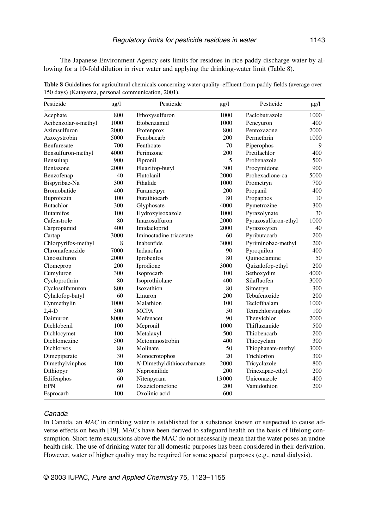The Japanese Environment Agency sets limits for residues in rice paddy discharge water by allowing for a 10-fold dilution in river water and applying the drinking-water limit (Table 8).

| Pesticide            | $\mu$ g/l | Pesticide                 | $\mu g/l$ | Pesticide            | $\mu$ g/l |
|----------------------|-----------|---------------------------|-----------|----------------------|-----------|
| Acephate             | 800       | Ethoxysulfuron            | 1000      | Paclobutrazole       | 1000      |
| Acibenzolar-s-methyl | 1000      | Etobenzamid               | 1000      | Pencyuron            | 400       |
| Azimsulfuron         | 2000      | Etofenprox                | 800       | Pentoxazone          | 2000      |
| Azoxystrobin         | 5000      | Fenobucarb                | 200       | Permethrin           | 1000      |
| Benfuresate          | 700       | Fenthoate                 | 70        | Piperophos           | 9         |
| Bensulfuron-methyl   | 4000      | Ferimzone                 | 200       | Pretilachlor         | 400       |
| Bensultap            | 900       | Fipronil                  | 5         | Probenazole          | 500       |
| Bentazone            | 2000      | Fluazifop-butyl           | 300       | Procymidone          | 900       |
| Benzofenap           | 40        | Flutolanil                | 2000      | Prohexadione-ca      | 5000      |
| Bispyribac-Na        | 300       | Fthalide                  | 1000      | Prometryn            | 700       |
| <b>Bromobutide</b>   | 400       | Furametpyr                | 200       | Propanil             | 400       |
| Buprofezin           | 100       | Furathiocarb              | 80        | Propaphos            | 10        |
| <b>Butachlor</b>     | 300       | Glyphosate                | 4000      | Pymetrozine          | 300       |
| <b>Butamifos</b>     | 100       | Hydroxyisoxazole          | 1000      | Pyrazolynate         | 30        |
| Cafenstrole          | 80        | Imazosulfuron             | 2000      | Pyrazosulfuron-ethyl | 1000      |
| Carpropamid          | 400       | Imidacloprid              | 2000      | Pyrazoxyfen          | 40        |
| Cartap               | 3000      | Iminoctadine triacetate   | 60        | Pyributacarb         | 200       |
| Chlorpyrifos-methyl  | 8         | Inabenfide                | 3000      | Pyriminobac-methyl   | 200       |
| Chromafenozide       | 7000      | Indanofan                 | 90        | Pyroquilon           | 400       |
| Cinosulfuron         | 2000      | Iprobenfos                | 80        | Quinoclamine         | 50        |
| Clomeprop            | 200       | Iprodione                 | 3000      | Quizalofop-ethyl     | 200       |
| Cumyluron            | 300       | Isoprocarb                | 100       | Sethoxydim           | 4000      |
| Cycloprothrin        | 80        | Isoprothiolane            | 400       | Silafluofen          | 3000      |
| Cyclosulfamuron      | 800       | Isoxathion                | 80        | Simetryn             | 300       |
| Cyhalofop-butyl      | 60        | Linuron                   | 200       | Tebufenozide         | 200       |
| Cynmethylin          | 1000      | Malathion                 | 100       | Teclofthalam         | 1000      |
| $2,4-D$              | 300       | <b>MCPA</b>               | 50        | Tetrachlorvinphos    | 100       |
| Daimuron             | 8000      | Mefenacet                 | 90        | Thenylchlor          | 2000      |
| Dichlobenil          | 100       | Mepronil                  | 1000      | Thifluzamide         | 500       |
| Dichlocymet          | 100       | Metalaxyl                 | 500       | Thiobencarb          | 200       |
| Dichlomezine         | 500       | Metominostrobin           | 400       | Thiocyclam           | 300       |
| Dichlorvos           | 80        | Molinate                  | 50        | Thiophanate-methyl   | 3000      |
| Dimepiperate         | 30        | Monocrotophos             | 20        | Trichlorfon          | 300       |
| Dimethylvinphos      | 100       | N-Dimethyldithiocarbamate | 2000      | Tricyclazole         | 800       |
| Dithiopyr            | 80        | Naproanilide              | 200       | Trinexapac-ethyl     | 200       |
| Edifenphos           | 60        | Nitenpyram                | 13000     | Uniconazole          | 400       |
| <b>EPN</b>           | 60        | Oxaziclomefone            | 200       | Vamidothion          | 200       |
| Esprocarb            | 100       | Oxolinic acid             | 600       |                      |           |

**Table 8** Guidelines for agricultural chemicals concerning water quality–effluent from paddy fields (average over 150 days) (Katayama, personal communication, 2001).

# Canada

In Canada, an *MAC* in drinking water is established for a substance known or suspected to cause adverse effects on health [19]. MACs have been derived to safeguard health on the basis of lifelong consumption. Short-term excursions above the MAC do not necessarily mean that the water poses an undue health risk. The use of drinking water for all domestic purposes has been considered in their derivation. However, water of higher quality may be required for some special purposes (e.g., renal dialysis).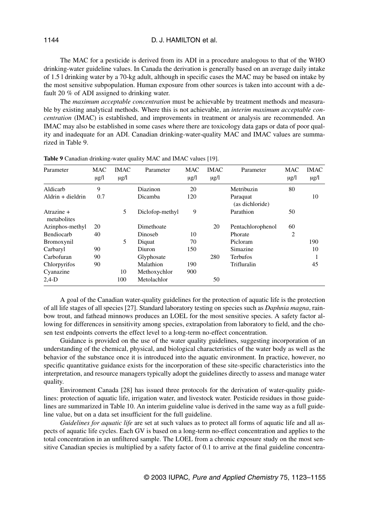The MAC for a pesticide is derived from its ADI in a procedure analogous to that of the WHO drinking-water guideline values. In Canada the derivation is generally based on an average daily intake of 1.5 l drinking water by a 70-kg adult, although in specific cases the MAC may be based on intake by the most sensitive subpopulation. Human exposure from other sources is taken into account with a default 20 % of ADI assigned to drinking water.

The *maximum acceptable concentration* must be achievable by treatment methods and measurable by existing analytical methods. Where this is not achievable, an *interim maximum acceptable concentration* (IMAC) is established, and improvements in treatment or analysis are recommended. An IMAC may also be established in some cases where there are toxicology data gaps or data of poor quality and inadequate for an ADI. Canadian drinking-water-quality MAC and IMAC values are summarized in Table 9.

| Parameter                   | <b>MAC</b><br>$\mu$ g/l | <b>IMAC</b><br>$\mu$ g/l | Parameter       | <b>MAC</b><br>$\mu$ g/l | <b>IMAC</b><br>$\mu$ g/l | Parameter                   | MAC<br>$\mu$ g/l | <b>IMAC</b><br>$\mu$ g/l |
|-----------------------------|-------------------------|--------------------------|-----------------|-------------------------|--------------------------|-----------------------------|------------------|--------------------------|
| Aldicarb                    | 9                       |                          | Diazinon        | 20                      |                          | Metribuzin                  | 80               |                          |
| Aldrin + dieldrin           | 0.7                     |                          | Dicamba         | 120                     |                          | Paraquat<br>(as dichloride) |                  | 10                       |
| Atrazine $+$<br>metabolites |                         | 5                        | Diclofop-methyl | 9                       |                          | Parathion                   | 50               |                          |
| Azinphos-methyl             | 20                      |                          | Dimethoate      |                         | 20                       | Pentachlorophenol           | 60               |                          |
| <b>Bendiocarb</b>           | 40                      |                          | Dinoseb         | 10                      |                          | Phorate                     | $\overline{2}$   |                          |
| Bromoxynil                  |                         | 5                        | Diquat          | 70                      |                          | Picloram                    |                  | 190                      |
| Carbaryl                    | 90                      |                          | Diuron          | 150                     |                          | Simazine                    |                  | 10                       |
| Carbofuran                  | 90                      |                          | Glyphosate      |                         | 280                      | Terbufos                    |                  |                          |
| Chlorpyrifos                | 90                      |                          | Malathion       | 190                     |                          | Trifluralin                 |                  | 45                       |
| Cyanazine                   |                         | 10                       | Methoxychlor    | 900                     |                          |                             |                  |                          |
| $2,4-D$                     |                         | 100                      | Metolachlor     |                         | 50                       |                             |                  |                          |

**Table 9** Canadian drinking-water quality MAC and IMAC values [19].

A goal of the Canadian water-quality guidelines for the protection of aquatic life is the protection of all life stages of all species [27]. Standard laboratory testing on species such as *Daphnia magna*, rainbow trout, and fathead minnows produces an LOEL for the most sensitive species. A safety factor allowing for differences in sensitivity among species, extrapolation from laboratory to field, and the chosen test endpoints converts the effect level to a long-term no-effect concentration.

Guidance is provided on the use of the water quality guidelines, suggesting incorporation of an understanding of the chemical, physical, and biological characteristics of the water body as well as the behavior of the substance once it is introduced into the aquatic environment. In practice, however, no specific quantitative guidance exists for the incorporation of these site-specific characteristics into the interpretation, and resource managers typically adopt the guidelines directly to assess and manage water quality.

Environment Canada [28] has issued three protocols for the derivation of water-quality guidelines: protection of aquatic life, irrigation water, and livestock water. Pesticide residues in those guidelines are summarized in Table 10. An interim guideline value is derived in the same way as a full guideline value, but on a data set insufficient for the full guideline.

*Guidelines for aquatic life* are set at such values as to protect all forms of aquatic life and all aspects of aquatic life cycles. Each GV is based on a long-term no-effect concentration and applies to the total concentration in an unfiltered sample. The LOEL from a chronic exposure study on the most sensitive Canadian species is multiplied by a safety factor of 0.1 to arrive at the final guideline concentra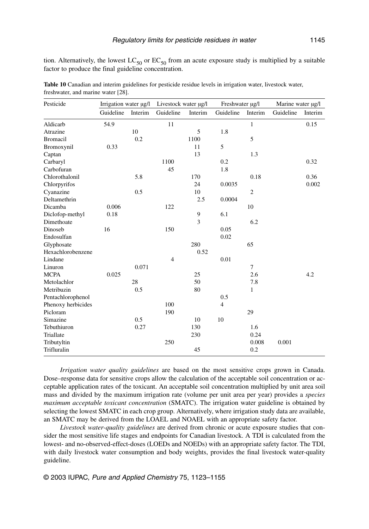tion. Alternatively, the lowest  $LC_{50}$  or  $EC_{50}$  from an acute exposure study is multiplied by a suitable factor to produce the final guideline concentration.

| Pesticide          | Irrigation water µg/l |         | Livestock water µg/l |         | Freshwater µg/l |                | Marine water µg/l |         |
|--------------------|-----------------------|---------|----------------------|---------|-----------------|----------------|-------------------|---------|
|                    | Guideline             | Interim | Guideline            | Interim | Guideline       | Interim        | Guideline         | Interim |
| Aldicarb           | 54.9                  |         | 11                   |         |                 | $\mathbf{1}$   |                   | 0.15    |
| Atrazine           |                       | 10      |                      | 5       | 1.8             |                |                   |         |
| <b>Bromacil</b>    |                       | 0.2     |                      | 1100    |                 | 5              |                   |         |
| Bromoxynil         | 0.33                  |         |                      | 11      | 5               |                |                   |         |
| Captan             |                       |         |                      | 13      |                 | 1.3            |                   |         |
| Carbaryl           |                       |         | 1100                 |         | 0.2             |                |                   | 0.32    |
| Carbofuran         |                       |         | 45                   |         | 1.8             |                |                   |         |
| Chlorothalonil     |                       | 5.8     |                      | 170     |                 | 0.18           |                   | 0.36    |
| Chlorpyrifos       |                       |         |                      | 24      | 0.0035          |                |                   | 0.002   |
| Cyanazine          |                       | 0.5     |                      | 10      |                 | $\overline{2}$ |                   |         |
| Deltamethrin       |                       |         |                      | 2.5     | 0.0004          |                |                   |         |
| Dicamba            | 0.006                 |         | 122                  |         |                 | 10             |                   |         |
| Diclofop-methyl    | 0.18                  |         |                      | 9       | 6.1             |                |                   |         |
| Dimethoate         |                       |         |                      | 3       |                 | 6.2            |                   |         |
| Dinoseb            | 16                    |         | 150                  |         | 0.05            |                |                   |         |
| Endosulfan         |                       |         |                      |         | 0.02            |                |                   |         |
| Glyphosate         |                       |         |                      | 280     |                 | 65             |                   |         |
| Hexachlorobenzene  |                       |         |                      | 0.52    |                 |                |                   |         |
| Lindane            |                       |         | $\overline{4}$       |         | 0.01            |                |                   |         |
| Linuron            |                       | 0.071   |                      |         |                 | $\overline{7}$ |                   |         |
| <b>MCPA</b>        | 0.025                 |         |                      | 25      |                 | 2.6            |                   | 4.2     |
| Metolachlor        |                       | 28      |                      | 50      |                 | 7.8            |                   |         |
| Metribuzin         |                       | 0.5     |                      | 80      |                 | $\mathbf{1}$   |                   |         |
| Pentachlorophenol  |                       |         |                      |         | 0.5             |                |                   |         |
| Phenoxy herbicides |                       |         | 100                  |         | $\overline{4}$  |                |                   |         |
| Picloram           |                       |         | 190                  |         |                 | 29             |                   |         |
| Simazine           |                       | 0.5     |                      | 10      | 10              |                |                   |         |
| Tebuthiuron        |                       | 0.27    |                      | 130     |                 | 1.6            |                   |         |
| Triallate          |                       |         |                      | 230     |                 | 0.24           |                   |         |
| Tributyltin        |                       |         | 250                  |         |                 | 0.008          | 0.001             |         |
| Trifluralin        |                       |         |                      | 45      |                 | 0.2            |                   |         |

**Table 10** Canadian and interim guidelines for pesticide residue levels in irrigation water, livestock water, freshwater, and marine water [28].

*Irrigation water quality guidelines* are based on the most sensitive crops grown in Canada. Dose–response data for sensitive crops allow the calculation of the acceptable soil concentration or acceptable application rates of the toxicant. An acceptable soil concentration multiplied by unit area soil mass and divided by the maximum irrigation rate (volume per unit area per year) provides a *species maximum acceptable toxicant concentration* (SMATC). The irrigation water guideline is obtained by selecting the lowest SMATC in each crop group. Alternatively, where irrigation study data are available, an SMATC may be derived from the LOAEL and NOAEL with an appropriate safety factor.

*Livestock water-quality guidelines* are derived from chronic or acute exposure studies that consider the most sensitive life stages and endpoints for Canadian livestock. A TDI is calculated from the lowest- and no-observed-effect-doses (LOEDs and NOEDs) with an appropriate safety factor. The TDI, with daily livestock water consumption and body weights, provides the final livestock water-quality guideline.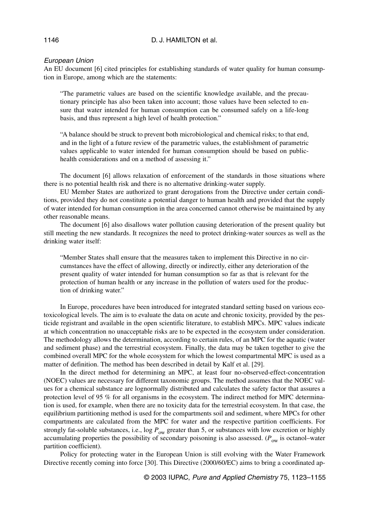# 1146

## European Union

An EU document [6] cited principles for establishing standards of water quality for human consumption in Europe, among which are the statements:

"The parametric values are based on the scientific knowledge available, and the precautionary principle has also been taken into account; those values have been selected to ensure that water intended for human consumption can be consumed safely on a life-long basis, and thus represent a high level of health protection."

"A balance should be struck to prevent both microbiological and chemical risks; to that end, and in the light of a future review of the parametric values, the establishment of parametric values applicable to water intended for human consumption should be based on publichealth considerations and on a method of assessing it."

The document [6] allows relaxation of enforcement of the standards in those situations where there is no potential health risk and there is no alternative drinking-water supply.

EU Member States are authorized to grant derogations from the Directive under certain conditions, provided they do not constitute a potential danger to human health and provided that the supply of water intended for human consumption in the area concerned cannot otherwise be maintained by any other reasonable means.

The document [6] also disallows water pollution causing deterioration of the present quality but still meeting the new standards. It recognizes the need to protect drinking-water sources as well as the drinking water itself:

"Member States shall ensure that the measures taken to implement this Directive in no circumstances have the effect of allowing, directly or indirectly, either any deterioration of the present quality of water intended for human consumption so far as that is relevant for the protection of human health or any increase in the pollution of waters used for the production of drinking water."

In Europe, procedures have been introduced for integrated standard setting based on various ecotoxicological levels. The aim is to evaluate the data on acute and chronic toxicity, provided by the pesticide registrant and available in the open scientific literature, to establish MPCs. MPC values indicate at which concentration no unacceptable risks are to be expected in the ecosystem under consideration. The methodology allows the determination, according to certain rules, of an MPC for the aquatic (water and sediment phase) and the terrestrial ecosystem. Finally, the data may be taken together to give the combined overall MPC for the whole ecosystem for which the lowest compartmental MPC is used as a matter of definition. The method has been described in detail by Kalf et al. [29].

In the direct method for determining an MPC, at least four no-observed-effect-concentration (NOEC) values are necessary for different taxonomic groups. The method assumes that the NOEC values for a chemical substance are lognormally distributed and calculates the safety factor that assures a protection level of 95% for all organisms in the ecosystem. The indirect method for MPC determination is used, for example, when there are no toxicity data for the terrestrial ecosystem. In that case, the equilibrium partitioning method is used for the compartments soil and sediment, where MPCs for other compartments are calculated from the MPC for water and the respective partition coefficients. For strongly fat-soluble substances, i.e.,  $\log P_{\text{ow}}$  greater than 5, or substances with low excretion or highly accumulating properties the possibility of secondary poisoning is also assessed.  $(P_{ow}$  is octanol–water partition coefficient).

Policy for protecting water in the European Union is still evolving with the Water Framework Directive recently coming into force [30]. This Directive (2000/60/EC) aims to bring a coordinated ap-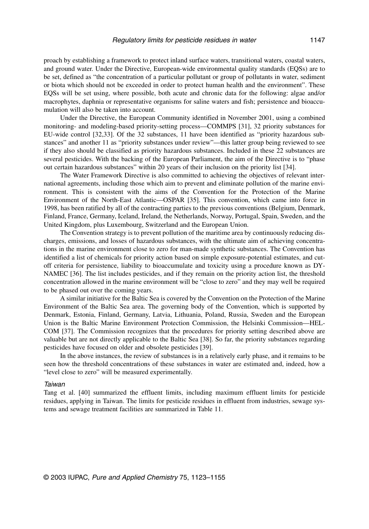proach by establishing a framework to protect inland surface waters, transitional waters, coastal waters, and ground water. Under the Directive, European-wide environmental quality standards (EQSs) are to be set, defined as "the concentration of a particular pollutant or group of pollutants in water, sediment or biota which should not be exceeded in order to protect human health and the environment". These EQSs will be set using, where possible, both acute and chronic data for the following: algae and/or macrophytes, daphnia or representative organisms for saline waters and fish; persistence and bioaccumulation will also be taken into account.

Under the Directive, the European Community identified in November 2001, using a combined monitoring- and modeling-based priority-setting process—COMMPS [31], 32 priority substances for EU-wide control [32,33]. Of the 32 substances, 11 have been identified as "priority hazardous substances" and another 11 as "priority substances under review"—this latter group being reviewed to see if they also should be classified as priority hazardous substances. Included in these 22 substances are several pesticides. With the backing of the European Parliament, the aim of the Directive is to "phase out certain hazardous substances" within 20 years of their inclusion on the priority list [34].

The Water Framework Directive is also committed to achieving the objectives of relevant international agreements, including those which aim to prevent and eliminate pollution of the marine environment. This is consistent with the aims of the Convention for the Protection of the Marine Environment of the North-East Atlantic—OSPAR [35]. This convention, which came into force in 1998, has been ratified by all of the contracting parties to the previous conventions (Belgium, Denmark, Finland, France, Germany, Iceland, Ireland, the Netherlands, Norway, Portugal, Spain, Sweden, and the United Kingdom, plus Luxembourg, Switzerland and the European Union.

The Convention strategy is to prevent pollution of the maritime area by continuously reducing discharges, emissions, and losses of hazardous substances, with the ultimate aim of achieving concentrations in the marine environment close to zero for man-made synthetic substances. The Convention has identified a list of chemicals for priority action based on simple exposure-potential estimates, and cutoff criteria for persistence, liability to bioaccumulate and toxicity using a procedure known as DY-NAMEC [36]. The list includes pesticides, and if they remain on the priority action list, the threshold concentration allowed in the marine environment will be "close to zero" and they may well be required to be phased out over the coming years.

A similar initiative for the Baltic Sea is covered by the Convention on the Protection of the Marine Environment of the Baltic Sea area. The governing body of the Convention, which is supported by Denmark, Estonia, Finland, Germany, Latvia, Lithuania, Poland, Russia, Sweden and the European Union is the Baltic Marine Environment Protection Commission, the Helsinki Commission—HEL-COM [37]. The Commission recognizes that the procedures for priority setting described above are valuable but are not directly applicable to the Baltic Sea [38]. So far, the priority substances regarding pesticides have focused on older and obsolete pesticides [39].

In the above instances, the review of substances is in a relatively early phase, and it remains to be seen how the threshold concentrations of these substances in water are estimated and, indeed, how a "level close to zero" will be measured experimentally.

#### Taiwan

Tang et al. [40] summarized the effluent limits, including maximum effluent limits for pesticide residues, applying in Taiwan. The limits for pesticide residues in effluent from industries, sewage systems and sewage treatment facilities are summarized in Table 11.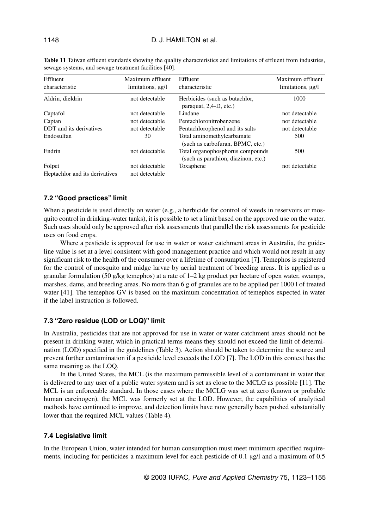| Effluent<br>characteristic     | Maximum effluent<br>limitations, $\mu$ g/l | Effluent<br>characteristic                                              | Maximum effluent<br>limitations, $\mu$ g/l |
|--------------------------------|--------------------------------------------|-------------------------------------------------------------------------|--------------------------------------------|
| Aldrin, dieldrin               | not detectable                             | Herbicides (such as butachlor,<br>paraquat, 2,4-D, etc.)                | 1000                                       |
| Captafol                       | not detectable                             | Lindane                                                                 | not detectable                             |
| Captan                         | not detectable                             | Pentachloronitrobenzene                                                 | not detectable                             |
| DDT and its derivatives        | not detectable                             | Pentachlorophenol and its salts                                         | not detectable                             |
| Endosulfan                     | 30                                         | Total aminomethylcarbamate<br>(such as carbofuran, BPMC, etc.)          | 500                                        |
| Endrin                         | not detectable                             | Total organophosphorus compounds<br>(such as parathion, diazinon, etc.) | 500                                        |
| Folpet                         | not detectable                             | Toxaphene                                                               | not detectable                             |
| Heptachlor and its derivatives | not detectable                             |                                                                         |                                            |

**Table 11** Taiwan effluent standards showing the quality characteristics and limitations of effluent from industries, sewage systems, and sewage treatment facilities [40].

### **7.2 "Good practices" limit**

When a pesticide is used directly on water (e.g., a herbicide for control of weeds in reservoirs or mosquito control in drinking-water tanks), it is possible to set a limit based on the approved use on the water. Such uses should only be approved after risk assessments that parallel the risk assessments for pesticide uses on food crops.

Where a pesticide is approved for use in water or water catchment areas in Australia, the guideline value is set at a level consistent with good management practice and which would not result in any significant risk to the health of the consumer over a lifetime of consumption [7]. Temephos is registered for the control of mosquito and midge larvae by aerial treatment of breeding areas. It is applied as a granular formulation (50 g/kg temephos) at a rate of 1–2 kg product per hectare of open water, swamps, marshes, dams, and breeding areas. No more than 6 g of granules are to be applied per 1000 l of treated water [41]. The temephos GV is based on the maximum concentration of temephos expected in water if the label instruction is followed.

# **7.3 "Zero residue (LOD or LOQ)" limit**

In Australia, pesticides that are not approved for use in water or water catchment areas should not be present in drinking water, which in practical terms means they should not exceed the limit of determination (LOD) specified in the guidelines (Table 3). Action should be taken to determine the source and prevent further contamination if a pesticide level exceeds the LOD [7]. The LOD in this context has the same meaning as the LOQ.

In the United States, the MCL (is the maximum permissible level of a contaminant in water that is delivered to any user of a public water system and is set as close to the MCLG as possible [11]. The MCL is an enforceable standard. In those cases where the MCLG was set at zero (known or probable human carcinogen), the MCL was formerly set at the LOD. However, the capabilities of analytical methods have continued to improve, and detection limits have now generally been pushed substantially lower than the required MCL values (Table 4).

### **7.4 Legislative limit**

In the European Union, water intended for human consumption must meet minimum specified requirements, including for pesticides a maximum level for each pesticide of 0.1 µg/l and a maximum of 0.5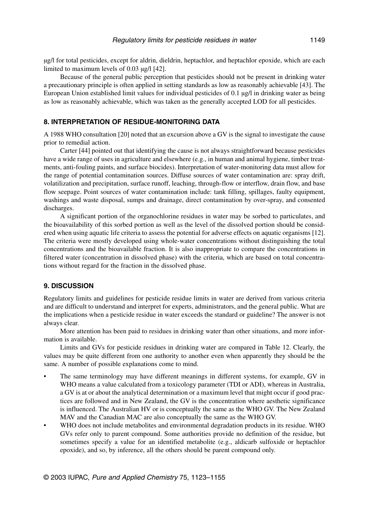µg/l for total pesticides, except for aldrin, dieldrin, heptachlor, and heptachlor epoxide, which are each limited to maximum levels of 0.03 µg/l [42].

Because of the general public perception that pesticides should not be present in drinking water a precautionary principle is often applied in setting standards as low as reasonably achievable [43]. The European Union established limit values for individual pesticides of 0.1 µg/l in drinking water as being as low as reasonably achievable, which was taken as the generally accepted LOD for all pesticides.

### **8. INTERPRETATION OF RESIDUE-MONITORING DATA**

A 1988 WHO consultation [20] noted that an excursion above a GV is the signal to investigate the cause prior to remedial action.

Carter [44] pointed out that identifying the cause is not always straightforward because pesticides have a wide range of uses in agriculture and elsewhere (e.g., in human and animal hygiene, timber treatments, anti-fouling paints, and surface biocides). Interpretation of water-monitoring data must allow for the range of potential contamination sources. Diffuse sources of water contamination are: spray drift, volatilization and precipitation, surface runoff, leaching, through-flow or interflow, drain flow, and base flow seepage. Point sources of water contamination include: tank filling, spillages, faulty equipment, washings and waste disposal, sumps and drainage, direct contamination by over-spray, and consented discharges.

A significant portion of the organochlorine residues in water may be sorbed to particulates, and the bioavailability of this sorbed portion as well as the level of the dissolved portion should be considered when using aquatic life criteria to assess the potential for adverse effects on aquatic organisms [12]. The criteria were mostly developed using whole-water concentrations without distinguishing the total concentrations and the bioavailable fraction. It is also inappropriate to compare the concentrations in filtered water (concentration in dissolved phase) with the criteria, which are based on total concentrations without regard for the fraction in the dissolved phase.

#### **9. DISCUSSION**

Regulatory limits and guidelines for pesticide residue limits in water are derived from various criteria and are difficult to understand and interpret for experts, administrators, and the general public. What are the implications when a pesticide residue in water exceeds the standard or guideline? The answer is not always clear.

More attention has been paid to residues in drinking water than other situations, and more information is available.

Limits and GVs for pesticide residues in drinking water are compared in Table 12. Clearly, the values may be quite different from one authority to another even when apparently they should be the same. A number of possible explanations come to mind.

- The same terminology may have different meanings in different systems, for example, GV in WHO means a value calculated from a toxicology parameter (TDI or ADI), whereas in Australia, a GV is at or about the analytical determination or a maximum level that might occur if good practices are followed and in New Zealand, the GV is the concentration where aesthetic significance is influenced. The Australian HV or is conceptually the same as the WHO GV. The New Zealand MAV and the Canadian MAC are also conceptually the same as the WHO GV.
- WHO does not include metabolites and environmental degradation products in its residue. WHO GVs refer only to parent compound. Some authorities provide no definition of the residue, but sometimes specify a value for an identified metabolite (e.g., aldicarb sulfoxide or heptachlor epoxide), and so, by inference, all the others should be parent compound only.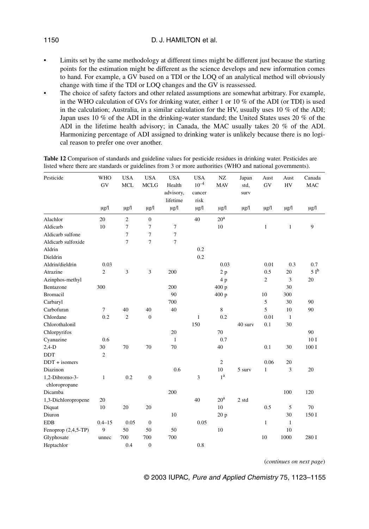- Limits set by the same methodology at different times might be different just because the starting points for the estimation might be different as the science develops and new information comes to hand. For example, a GV based on a TDI or the LOQ of an analytical method will obviously change with time if the TDI or LOQ changes and the GV is reassessed.
- The choice of safety factors and other related assumptions are somewhat arbitrary. For example, in the WHO calculation of GVs for drinking water, either 1 or  $10\%$  of the ADI (or TDI) is used in the calculation; Australia, in a similar calculation for the HV, usually uses 10 % of the ADI; Japan uses 10 % of the ADI in the drinking-water standard; the United States uses 20 % of the ADI in the lifetime health advisory; in Canada, the MAC usually takes 20 % of the ADI. Harmonizing percentage of ADI assigned to drinking water is unlikely because there is no logical reason to prefer one over another.

|                                 |                  |                          |                           |                      |                         |                  |               | c              |              |                      |
|---------------------------------|------------------|--------------------------|---------------------------|----------------------|-------------------------|------------------|---------------|----------------|--------------|----------------------|
| Pesticide                       | <b>WHO</b><br>GV | <b>USA</b><br><b>MCL</b> | <b>USA</b><br><b>MCLG</b> | <b>USA</b><br>Health | <b>USA</b><br>$10^{-4}$ | NZ<br><b>MAV</b> | Japan<br>std, | Aust<br>GV     | Aust<br>HV   | Canada<br><b>MAC</b> |
|                                 |                  |                          |                           | advisory,            | cancer                  |                  | surv          |                |              |                      |
|                                 |                  |                          |                           | lifetime             | risk                    |                  |               |                |              |                      |
|                                 | $\mu$ g/l        | $\mu$ g/l                | $\mu$ g/l                 | $\mu$ g/l            | $\mu$ g/l               | $\mu$ g/l        | $\mu$ g/l     | $\mu$ g/l      | $\mu$ g/l    | $\mu g/l$            |
| Alachlor                        | 20               | $\mathfrak{2}$           | $\boldsymbol{0}$          |                      | 40                      | 20 <sup>a</sup>  |               |                |              |                      |
| Aldicarb                        | 10               | $\overline{7}$           | $\tau$                    | $\tau$               |                         | 10               |               | $\mathbf{1}$   | $\mathbf{1}$ | 9                    |
| Aldicarb sulfone                |                  | 7                        | $\tau$                    | $\tau$               |                         |                  |               |                |              |                      |
| Aldicarb sulfoxide              |                  | $\overline{7}$           | $\overline{7}$            | $\overline{7}$       |                         |                  |               |                |              |                      |
| Aldrin                          |                  |                          |                           |                      | 0.2                     |                  |               |                |              |                      |
| Dieldrin                        |                  |                          |                           |                      | 0.2                     |                  |               |                |              |                      |
| Aldrin/dieldrin                 | 0.03             |                          |                           |                      |                         | 0.03             |               | 0.01           | 0.3          | 0.7                  |
| Atrazine                        | $\mathfrak{2}$   | 3                        | 3                         | 200                  |                         | 2p               |               | 0.5            | 20           | $5I^b$               |
| Azinphos-methyl                 |                  |                          |                           |                      |                         | 4p               |               | $\overline{c}$ | 3            | 20                   |
| Bentazone                       | 300              |                          |                           | 200                  |                         | 400 p            |               |                | 30           |                      |
| <b>Bromacil</b>                 |                  |                          |                           | 90                   |                         | 400 p            |               | 10             | 300          |                      |
| Carbaryl                        |                  |                          |                           | 700                  |                         |                  |               | 5              | 30           | 90                   |
| Carbofuran                      | $\overline{7}$   | 40                       | 40                        | 40                   |                         | 8                |               | 5              | 10           | 90                   |
| Chlordane                       | 0.2              | $\overline{c}$           | $\boldsymbol{0}$          |                      | $\mathbf{1}$            | 0.2              |               | 0.01           | 1            |                      |
| Chlorothalonil                  |                  |                          |                           |                      | 150                     |                  | 40 surv       | 0.1            | 30           |                      |
| Chlorpyrifos                    |                  |                          |                           | 20                   |                         | 70               |               |                |              | 90                   |
| Cyanazine                       | 0.6              |                          |                           | $\mathbf{1}$         |                         | 0.7              |               |                |              | 10 <sub>I</sub>      |
| $2,4-D$                         | 30               | $70\,$                   | 70                        | 70                   |                         | 40               |               | 0.1            | 30           | 100 I                |
| <b>DDT</b>                      | $\overline{c}$   |                          |                           |                      |                         |                  |               |                |              |                      |
| $DDT + isomers$                 |                  |                          |                           |                      |                         | $\mathfrak{2}$   |               | 0.06           | 20           |                      |
| Diazinon                        |                  |                          |                           | 0.6                  |                         | 10               | 5 surv        | $\mathbf{1}$   | 3            | 20                   |
| 1,2-Dibromo-3-<br>chloropropane | $\mathbf{1}$     | 0.2                      | $\boldsymbol{0}$          |                      | 3                       | 1 <sup>a</sup>   |               |                |              |                      |
| Dicamba                         |                  |                          |                           | 200                  |                         |                  |               |                | 100          | 120                  |
| 1,3-Dichloropropene             | 20               |                          |                           |                      | 40                      | 20 <sup>a</sup>  | 2 std         |                |              |                      |
| Diquat                          | 10               | 20                       | 20                        |                      |                         | 10               |               | 0.5            | 5            | 70                   |
| Diuron                          |                  |                          |                           | 10                   |                         | 20p              |               |                | 30           | 150 I                |
| <b>EDB</b>                      | $0.4 - 15$       | 0.05                     | $\boldsymbol{0}$          |                      | 0.05                    |                  |               | $\mathbf{1}$   | $\mathbf{1}$ |                      |
| Fenoprop $(2,4,5-TP)$           | 9                | 50                       | 50                        | 50                   |                         | 10               |               |                | 10           |                      |
| Glyphosate                      | unnec            | 700                      | 700                       | 700                  |                         |                  |               | 10             | 1000         | 280 I                |
| Heptachlor                      |                  | 0.4                      | $\overline{0}$            |                      | 0.8                     |                  |               |                |              |                      |

**Table 12** Comparison of standards and guideline values for pesticide residues in drinking water. Pesticides are listed where there are standards or guidelines from 3 or more authorities (WHO and national governments).

(*continues on next page*)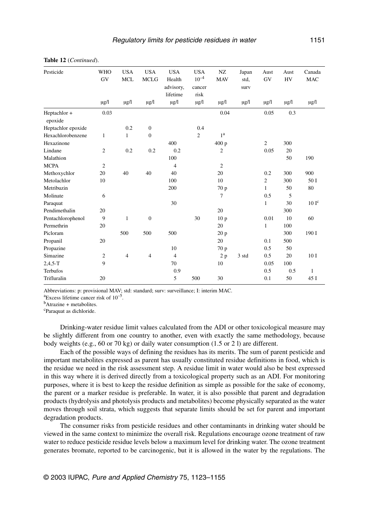| Pesticide               | <b>WHO</b><br>GV | <b>USA</b><br><b>MCL</b> | <b>USA</b><br><b>MCLG</b> | <b>USA</b><br>Health<br>advisory,<br>lifetime | <b>USA</b><br>$10^{-4}$<br>cancer<br>risk | NZ<br><b>MAV</b> | Japan<br>std,<br>surv | Aust<br>GV     | Aust<br>HV | Canada<br><b>MAC</b> |
|-------------------------|------------------|--------------------------|---------------------------|-----------------------------------------------|-------------------------------------------|------------------|-----------------------|----------------|------------|----------------------|
|                         | $\mu$ g/l        | $\mu$ g/l                | $\mu$ g/l                 | $\mu$ g/l                                     | $\mu$ g/l                                 | $\mu g/l$        | $\mu$ g/l             | $\mu$ g/l      | $\mu$ g/l  | $\mu$ g/l            |
| Heptachlor +<br>epoxide | 0.03             |                          |                           |                                               |                                           | 0.04             |                       | 0.05           | 0.3        |                      |
| Heptachlor epoxide      |                  | 0.2                      | $\boldsymbol{0}$          |                                               | 0.4                                       |                  |                       |                |            |                      |
| Hexachlorobenzene       | $\mathbf{1}$     | $\mathbf{1}$             | $\boldsymbol{0}$          |                                               | $\overline{2}$                            | 1 <sup>a</sup>   |                       |                |            |                      |
| Hexazinone              |                  |                          |                           | 400                                           |                                           | 400 p            |                       | $\overline{2}$ | 300        |                      |
| Lindane                 | $\mathfrak{2}$   | 0.2                      | 0.2                       | 0.2                                           |                                           | 2                |                       | 0.05           | 20         |                      |
| Malathion               |                  |                          |                           | 100                                           |                                           |                  |                       |                | 50         | 190                  |
| <b>MCPA</b>             | $\mathfrak{2}$   |                          |                           | $\overline{4}$                                |                                           | $\mathfrak{2}$   |                       |                |            |                      |
| Methoxychlor            | 20               | 40                       | 40                        | 40                                            |                                           | 20               |                       | 0.2            | 300        | 900                  |
| Metolachlor             | 10               |                          |                           | 100                                           |                                           | 10               |                       | $\overline{2}$ | 300        | 50 I                 |
| Metribuzin              |                  |                          |                           | 200                                           |                                           | 70 p             |                       | 1              | 50         | 80                   |
| Molinate                | 6                |                          |                           |                                               |                                           | 7                |                       | 0.5            | 5          |                      |
| Paraquat                |                  |                          |                           | 30                                            |                                           |                  |                       | 1              | 30         | 10 <sup>c</sup>      |
| Pendimethalin           | 20               |                          |                           |                                               |                                           | 20               |                       |                | 300        |                      |
| Pentachlorophenol       | 9                | $\mathbf{1}$             | $\boldsymbol{0}$          |                                               | 30                                        | 10 <sub>p</sub>  |                       | 0.01           | 10         | 60                   |
| Permethrin              | 20               |                          |                           |                                               |                                           | 20               |                       | 1              | 100        |                      |
| Picloram                |                  | 500                      | 500                       | 500                                           |                                           | 20 <sub>p</sub>  |                       |                | 300        | 190 I                |
| Propanil                | 20               |                          |                           |                                               |                                           | 20               |                       | 0.1            | 500        |                      |
| Propazine               |                  |                          |                           | 10                                            |                                           | 70 p             |                       | 0.5            | 50         |                      |
| Simazine                | $\mathfrak{2}$   | $\overline{4}$           | $\overline{4}$            | $\overline{4}$                                |                                           | 2p               | 3 std                 | 0.5            | 20         | 10 <sub>I</sub>      |
| $2,4,5-T$               | 9                |                          |                           | 70                                            |                                           | 10               |                       | 0.05           | 100        |                      |
| Terbufos                |                  |                          |                           | 0.9                                           |                                           |                  |                       | 0.5            | 0.5        | $\mathbf{1}$         |
| Trifluralin             | 20               |                          |                           | 5                                             | 500                                       | 30               |                       | 0.1            | 50         | 45 I                 |

**Table 12** (*Continued*).

Abbreviations: p: provisional MAV; std: standard; surv: surveillance; I: interim MAC.

a Excess lifetime cancer risk of 10–5.

<sup>b</sup>Atrazine + metabolites.

c Paraquat as dichloride.

Drinking-water residue limit values calculated from the ADI or other toxicological measure may be slightly different from one country to another, even with exactly the same methodology, because body weights (e.g., 60 or 70 kg) or daily water consumption (1.5 or 2 l) are different.

Each of the possible ways of defining the residues has its merits. The sum of parent pesticide and important metabolites expressed as parent has usually constituted residue definitions in food, which is the residue we need in the risk assessment step. A residue limit in water would also be best expressed in this way where it is derived directly from a toxicological property such as an ADI. For monitoring purposes, where it is best to keep the residue definition as simple as possible for the sake of economy, the parent or a marker residue is preferable. In water, it is also possible that parent and degradation products (hydrolysis and photolysis products and metabolites) become physically separated as the water moves through soil strata, which suggests that separate limits should be set for parent and important degradation products.

The consumer risks from pesticide residues and other contaminants in drinking water should be viewed in the same context to minimize the overall risk. Regulations encourage ozone treatment of raw water to reduce pesticide residue levels below a maximum level for drinking water. The ozone treatment generates bromate, reported to be carcinogenic, but it is allowed in the water by the regulations. The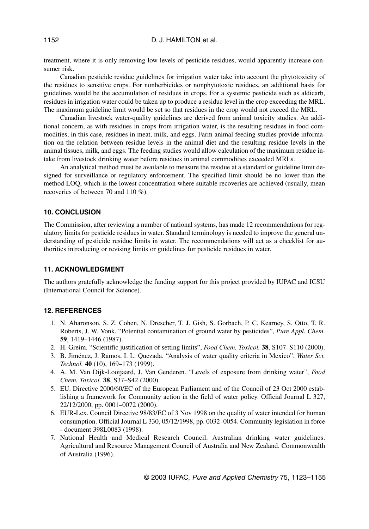treatment, where it is only removing low levels of pesticide residues, would apparently increase consumer risk.

Canadian pesticide residue guidelines for irrigation water take into account the phytotoxicity of the residues to sensitive crops. For nonherbicides or nonphytotoxic residues, an additional basis for guidelines would be the accumulation of residues in crops. For a systemic pesticide such as aldicarb, residues in irrigation water could be taken up to produce a residue level in the crop exceeding the MRL. The maximum guideline limit would be set so that residues in the crop would not exceed the MRL.

Canadian livestock water-quality guidelines are derived from animal toxicity studies. An additional concern, as with residues in crops from irrigation water, is the resulting residues in food commodities, in this case, residues in meat, milk, and eggs. Farm animal feeding studies provide information on the relation between residue levels in the animal diet and the resulting residue levels in the animal tissues, milk, and eggs. The feeding studies would allow calculation of the maximum residue intake from livestock drinking water before residues in animal commodities exceeded MRLs.

An analytical method must be available to measure the residue at a standard or guideline limit designed for surveillance or regulatory enforcement. The specified limit should be no lower than the method LOQ, which is the lowest concentration where suitable recoveries are achieved (usually, mean recoveries of between 70 and 110 %).

## **10. CONCLUSION**

The Commission, after reviewing a number of national systems, has made 12 recommendations for regulatory limits for pesticide residues in water. Standard terminology is needed to improve the general understanding of pesticide residue limits in water. The recommendations will act as a checklist for authorities introducing or revising limits or guidelines for pesticide residues in water.

### **11. ACKNOWLEDGMENT**

The authors gratefully acknowledge the funding support for this project provided by IUPAC and ICSU (International Council for Science).

## **12. REFERENCES**

- 1. N. Aharonson, S. Z. Cohen, N. Drescher, T. J. Gish, S. Gorbach, P. C. Kearney, S. Otto, T. R. Roberts, J. W. Vonk. "Potential contamination of ground water by pesticides", *Pure Appl. Chem.* **59**, 1419–1446 (1987).
- 2. H. Greim. "Scientific justification of setting limits", *Food Chem. Toxicol.* **38**, S107–S110 (2000).
- 3. B. Jiménez, J. Ramos, I. L. Quezada. "Analysis of water quality criteria in Mexico", *Water Sci. Technol.* **40** (10), 169–173 (1999).
- 4. A. M. Van Dijk-Looijaard, J. Van Genderen. "Levels of exposure from drinking water", *Food Chem. Toxicol.* **38**, S37–S42 (2000).
- 5. EU. Directive 2000/60/EC of the European Parliament and of the Council of 23 Oct 2000 establishing a framework for Community action in the field of water policy. Official Journal L 327, 22/12/2000, pp. 0001–0072 (2000).
- 6. EUR-Lex. Council Directive 98/83/EC of 3 Nov 1998 on the quality of water intended for human consumption. Official Journal L 330, 05/12/1998, pp. 0032–0054. Community legislation in force - document 398L0083 (1998).
- 7. National Health and Medical Research Council. Australian drinking water guidelines. Agricultural and Resource Management Council of Australia and New Zealand. Commonwealth of Australia (1996).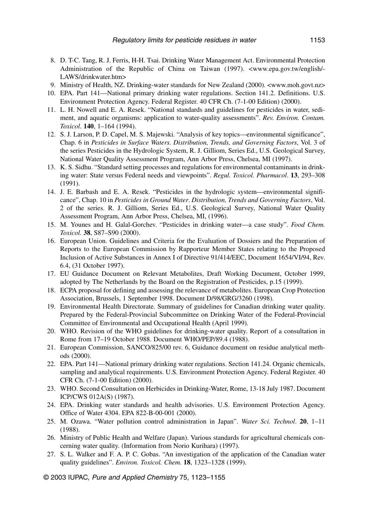- 8. D. T-C. Tang, R. J. Ferris, H-H. Tsai. Drinking Water Management Act. Environmental Protection Administration of the Republic of China on Taiwan (1997). <www.epa.gov.tw/english/- LAWS/drinkwater.htm>
- 9. Ministry of Health, NZ. Drinking-water standards for New Zealand (2000). <www.moh.govt.nz>
- 10. EPA. Part 141—National primary drinking water regulations. Section 141.2. Definitions. U.S. Environment Protection Agency. Federal Register. 40 CFR Ch. (7-1-00 Edition) (2000).
- 11. L. H. Nowell and E. A. Resek. "National standards and guidelines for pesticides in water, sediment, and aquatic organisms: application to water-quality assessments". *Rev. Environ. Contam. Toxicol*. **140**, 1–164 (1994).
- 12. S. J. Larson, P. D. Capel, M. S. Majewski. "Analysis of key topics—environmental significance", Chap. 6 in *Pesticides in Surface Waters. Distribution, Trends, and Governing Factors*, Vol. 3 of the series Pesticides in the Hydrologic System, R. J. Gilliom, Series Ed., U.S. Geological Survey, National Water Quality Assessment Program, Ann Arbor Press, Chelsea, MI (1997).
- 13. K. S. Sidhu. "Standard setting processes and regulations for environmental contaminants in drinking water: State versus Federal needs and viewpoints". *Regul. Toxicol. Pharmacol*. **13**, 293–308 (1991).
- 14. J. E. Barbash and E. A. Resek. "Pesticides in the hydrologic system—environmental significance", Chap. 10 in *Pesticides in Ground Water*. *Distribution, Trends and Governing Factors*, Vol. 2 of the series. R. J. Gilliom, Series Ed., U.S. Geological Survey, National Water Quality Assessment Program, Ann Arbor Press, Chelsea, MI, (1996).
- 15. M. Younes and H. Galal-Gorchev. "Pesticides in drinking water—a case study". *Food Chem. Toxicol.* **38**, S87–S90 (2000).
- 16. European Union. Guidelines and Criteria for the Evaluation of Dossiers and the Preparation of Reports to the European Commission by Rapporteur Member States relating to the Proposed Inclusion of Active Substances in Annex I of Directive 91/414/EEC, Document 1654/VI/94, Rev. 6.4, (31 October 1997).
- 17. EU Guidance Document on Relevant Metabolites, Draft Working Document, October 1999, adopted by The Netherlands by the Board on the Registration of Pesticides, p.15 (1999).
- 18. ECPA proposal for defining and assessing the relevance of metabolites. European Crop Protection Association, Brussels, 1 September 1998. Document D/98/GRG/3260 (1998).
- 19. Environmental Health Directorate. Summary of guidelines for Canadian drinking water quality. Prepared by the Federal-Provincial Subcommittee on Drinking Water of the Federal-Provincial Committee of Environmental and Occupational Health (April 1999).
- 20. WHO. Revision of the WHO guidelines for drinking-water quality. Report of a consultation in Rome from 17–19 October 1988. Document WHO/PEP/89.4 (1988).
- 21. European Commission, SANCO/825/00 rev. 6, Guidance document on residue analytical methods (2000).
- 22. EPA. Part 141—National primary drinking water regulations. Section 141.24. Organic chemicals, sampling and analytical requirements. U.S. Environment Protection Agency. Federal Register. 40 CFR Ch. (7-1-00 Edition) (2000).
- 23. WHO. Second Consultation on Herbicides in Drinking-Water, Rome, 13-18 July 1987. Document ICP/CWS 012A(S) (1987).
- 24. EPA. Drinking water standards and health advisories. U.S. Environment Protection Agency. Office of Water 4304. EPA 822-B-00-001 (2000).
- 25. M. Ozawa. "Water pollution control administration in Japan". *Water Sci. Technol*. **20**, 1–11 (1988).
- 26. Ministry of Public Health and Welfare (Japan). Various standards for agricultural chemicals concerning water quality. (Information from Norio Kurihara) (1997).
- 27. S. L. Walker and F. A. P. C. Gobas. "An investigation of the application of the Canadian water quality guidelines". *Environ. Toxicol. Chem.* **18**, 1323–1328 (1999).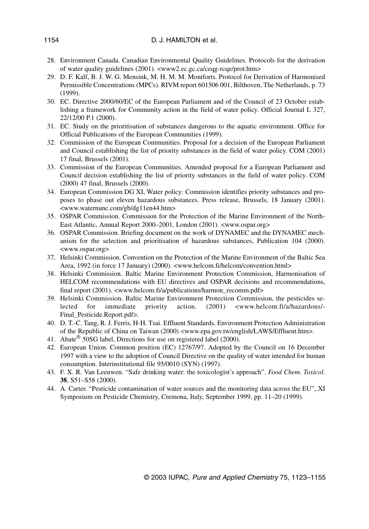## D. J. HAMILTON et al.

- 28. Environment Canada. Canadian Environmental Quality Guidelines. Protocols for the derivation of water quality guidelines (2001). <www2.ec.gc.ca/ceqg-rcqe/prot.htm>
- 29. D. F. Kalf, B. J. W. G. Mensink, M. H. M. M. Montforts. Protocol for Derivation of Harmonised Permissible Concentrations (MPCs). RIVM report 601506 001, Bilthoven, The Netherlands, p. 73 (1999).
- 30. EC. Directive 2000/60/EC of the European Parliament and of the Council of 23 October establishing a framework for Community action in the field of water policy. Official Journal L 327, 22/12/00 P.1 (2000).
- 31. EC. Study on the prioritisation of substances dangerous to the aquatic environment. Office for Official Publications of the European Communities (1999).
- 32. Commission of the European Communities. Proposal for a decision of the European Parliament and Council establishing the list of priority substances in the field of water policy. COM (2001) 17 final, Brussels (2001).
- 33. Commission of the European Communities. Amended proposal for a European Parliament and Council decision establishing the list of priority substances in the field of water policy. COM (2000) 47 final, Brussels (2000).
- 34. European Commission DG XI, Water policy: Commission identifies priority substances and proposes to phase out eleven hazardous substances. Press release, Brussels, 18 January (2001). <www.waternunc.com/gb/dg11en44.htm>
- 35. OSPAR Commission. Commission for the Protection of the Marine Environment of the North-East Atlantic, Annual Report 2000–2001, London (2001). <www.ospar.org>
- 36. OSPAR Commission. Briefing document on the work of DYNAMEC and the DYNAMEC mechanism for the selection and prioritisation of hazardous substances, Publication 104 (2000). <www.ospar.org>
- 37. Helsinki Commission. Convention on the Protection of the Marine Environment of the Baltic Sea Area, 1992 (in force 17 January) (2000). <www.helcom.fi/helcom/convention.html>
- 38. Helsinki Commission. Baltic Marine Environment Protection Commission, Harmonisation of HELCOM recommendations with EU directives and OSPAR decisions and recommendations, final report (2001). <www.helcom.fi/a/publications/harmon\_recomm.pdf>
- 39. Helsinki Commission. Baltic Marine Environment Protection Commission, the pesticides selected for immediate priority action. (2001) <www.helcom.fi/a/hazardous/- Final\_Pesticide.Report.pdf>.
- 40. D. T.-C. Tang, R. J. Ferris, H-H. Tsai. Effluent Standards. Environment Protection Administration of the Republic of China on Taiwan (2000) <www.epa.gov.tw/english/LAWS/Effluent.htm>.
- 41. Abate<sup>®</sup> 50SG label, Directions for use on registered label (2000).
- 42. European Union. Common position (EC) 12767/97. Adopted by the Council on 16 December 1997 with a view to the adoption of Council Directive on the quality of water intended for human consumption. Interinstitutional file 95/0010 (SYN) (1997).
- 43. F. X. R. Van Leeuwen. "Safe drinking water: the toxicologist's approach". *Food Chem. Toxicol.* **38**, S51–S58 (2000).
- 44. A. Carter. "Pesticide contamination of water sources and the monitoring data across the EU", XI Symposium on Pesticide Chemistry, Cremona, Italy, September 1999, pp. 11–20 (1999).